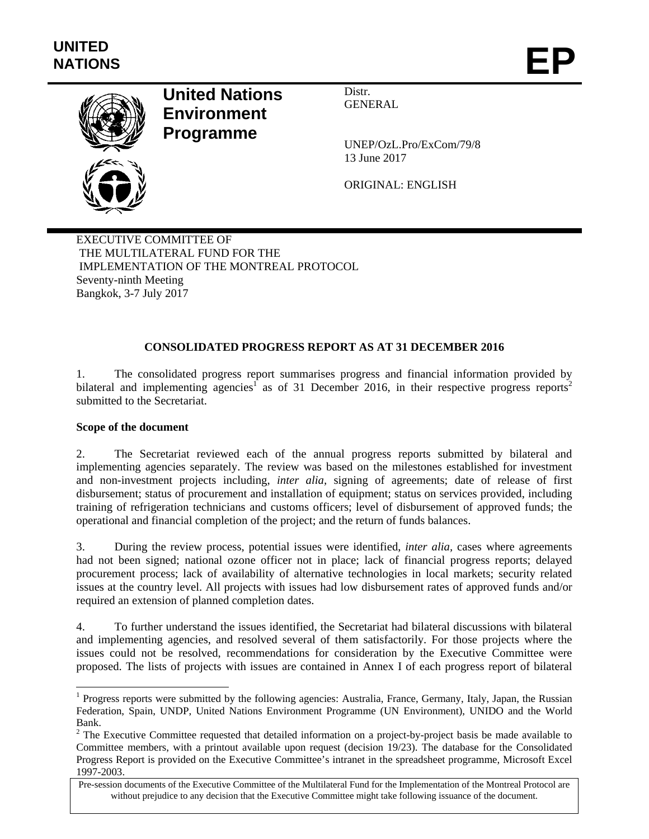

# **United Nations Environment Programme**

Distr. GENERAL

UNEP/OzL.Pro/ExCom/79/8 13 June 2017

ORIGINAL: ENGLISH

EXECUTIVE COMMITTEE OF THE MULTILATERAL FUND FOR THE IMPLEMENTATION OF THE MONTREAL PROTOCOL Seventy-ninth Meeting Bangkok, 3-7 July 2017

## **CONSOLIDATED PROGRESS REPORT AS AT 31 DECEMBER 2016**

1. The consolidated progress report summarises progress and financial information provided by bilateral and implementing agencies<sup>1</sup> as of 31 December 2016, in their respective progress reports<sup>2</sup> submitted to the Secretariat.

## **Scope of the document**

 $\overline{a}$ 

2. The Secretariat reviewed each of the annual progress reports submitted by bilateral and implementing agencies separately. The review was based on the milestones established for investment and non-investment projects including, *inter alia,* signing of agreements; date of release of first disbursement; status of procurement and installation of equipment; status on services provided, including training of refrigeration technicians and customs officers; level of disbursement of approved funds; the operational and financial completion of the project; and the return of funds balances.

3. During the review process, potential issues were identified, *inter alia,* cases where agreements had not been signed; national ozone officer not in place; lack of financial progress reports; delayed procurement process; lack of availability of alternative technologies in local markets; security related issues at the country level. All projects with issues had low disbursement rates of approved funds and/or required an extension of planned completion dates.

4. To further understand the issues identified, the Secretariat had bilateral discussions with bilateral and implementing agencies, and resolved several of them satisfactorily. For those projects where the issues could not be resolved, recommendations for consideration by the Executive Committee were proposed. The lists of projects with issues are contained in Annex I of each progress report of bilateral

<sup>&</sup>lt;sup>1</sup> Progress reports were submitted by the following agencies: Australia, France, Germany, Italy, Japan, the Russian Federation, Spain, UNDP, United Nations Environment Programme (UN Environment), UNIDO and the World Bank.

 $2$  The Executive Committee requested that detailed information on a project-by-project basis be made available to Committee members, with a printout available upon request (decision 19/23). The database for the Consolidated Progress Report is provided on the Executive Committee's intranet in the spreadsheet programme, Microsoft Excel 1997-2003.

Pre-session documents of the Executive Committee of the Multilateral Fund for the Implementation of the Montreal Protocol are without prejudice to any decision that the Executive Committee might take following issuance of the document.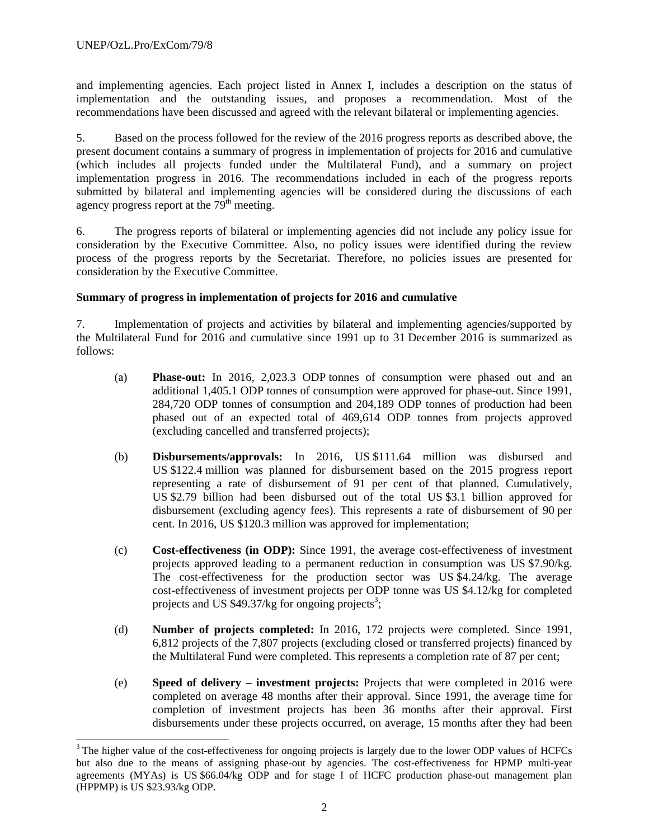-

and implementing agencies. Each project listed in Annex I, includes a description on the status of implementation and the outstanding issues, and proposes a recommendation. Most of the recommendations have been discussed and agreed with the relevant bilateral or implementing agencies.

5. Based on the process followed for the review of the 2016 progress reports as described above, the present document contains a summary of progress in implementation of projects for 2016 and cumulative (which includes all projects funded under the Multilateral Fund), and a summary on project implementation progress in 2016. The recommendations included in each of the progress reports submitted by bilateral and implementing agencies will be considered during the discussions of each agency progress report at the  $79<sup>th</sup>$  meeting.

6. The progress reports of bilateral or implementing agencies did not include any policy issue for consideration by the Executive Committee. Also, no policy issues were identified during the review process of the progress reports by the Secretariat. Therefore, no policies issues are presented for consideration by the Executive Committee.

## **Summary of progress in implementation of projects for 2016 and cumulative**

7. Implementation of projects and activities by bilateral and implementing agencies/supported by the Multilateral Fund for 2016 and cumulative since 1991 up to 31 December 2016 is summarized as follows:

- (a) **Phase-out:** In 2016, 2,023.3 ODP tonnes of consumption were phased out and an additional 1,405.1 ODP tonnes of consumption were approved for phase-out. Since 1991, 284,720 ODP tonnes of consumption and 204,189 ODP tonnes of production had been phased out of an expected total of 469,614 ODP tonnes from projects approved (excluding cancelled and transferred projects);
- (b) **Disbursements/approvals:** In 2016, US \$111.64 million was disbursed and US \$122.4 million was planned for disbursement based on the 2015 progress report representing a rate of disbursement of 91 per cent of that planned. Cumulatively, US \$2.79 billion had been disbursed out of the total US \$3.1 billion approved for disbursement (excluding agency fees). This represents a rate of disbursement of 90 per cent. In 2016, US \$120.3 million was approved for implementation;
- (c) **Cost-effectiveness (in ODP):** Since 1991, the average cost-effectiveness of investment projects approved leading to a permanent reduction in consumption was US \$7.90/kg. The cost-effectiveness for the production sector was US \$4.24/kg. The average cost-effectiveness of investment projects per ODP tonne was US \$4.12/kg for completed projects and US  $$49.37/kg$  for ongoing projects<sup>3</sup>;
- (d) **Number of projects completed:** In 2016, 172 projects were completed. Since 1991, 6,812 projects of the 7,807 projects (excluding closed or transferred projects) financed by the Multilateral Fund were completed. This represents a completion rate of 87 per cent;
- (e) **Speed of delivery investment projects:** Projects that were completed in 2016 were completed on average 48 months after their approval. Since 1991, the average time for completion of investment projects has been 36 months after their approval. First disbursements under these projects occurred, on average, 15 months after they had been

<sup>&</sup>lt;sup>3</sup> The higher value of the cost-effectiveness for ongoing projects is largely due to the lower ODP values of HCFCs but also due to the means of assigning phase-out by agencies. The cost-effectiveness for HPMP multi-year agreements (MYAs) is US \$66.04/kg ODP and for stage I of HCFC production phase-out management plan (HPPMP) is US \$23.93/kg ODP.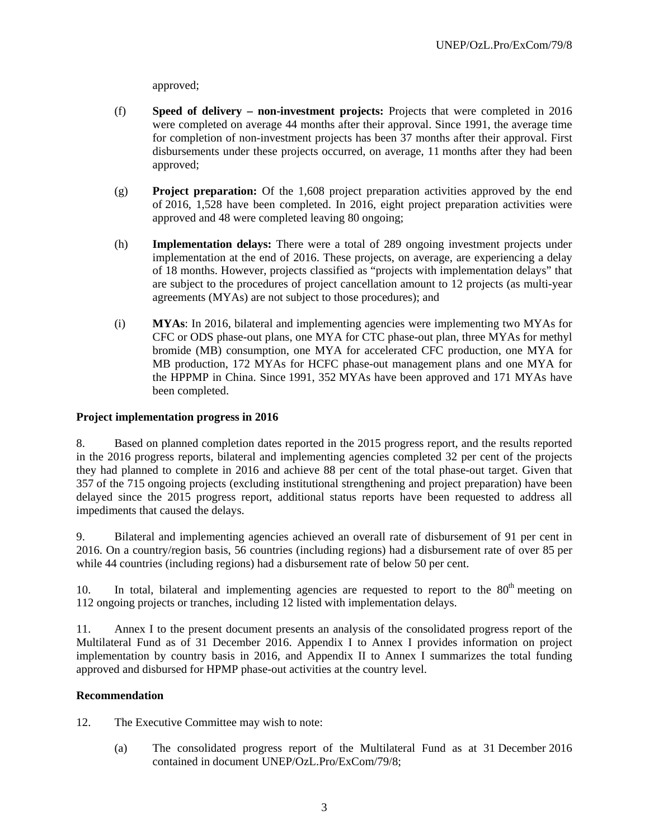approved;

- (f) **Speed of delivery non-investment projects:** Projects that were completed in 2016 were completed on average 44 months after their approval. Since 1991, the average time for completion of non-investment projects has been 37 months after their approval. First disbursements under these projects occurred, on average, 11 months after they had been approved;
- (g) **Project preparation:** Of the 1,608 project preparation activities approved by the end of 2016, 1,528 have been completed. In 2016, eight project preparation activities were approved and 48 were completed leaving 80 ongoing;
- (h) **Implementation delays:** There were a total of 289 ongoing investment projects under implementation at the end of 2016. These projects, on average, are experiencing a delay of 18 months. However, projects classified as "projects with implementation delays" that are subject to the procedures of project cancellation amount to 12 projects (as multi-year agreements (MYAs) are not subject to those procedures); and
- (i) **MYAs**: In 2016, bilateral and implementing agencies were implementing two MYAs for CFC or ODS phase-out plans, one MYA for CTC phase-out plan, three MYAs for methyl bromide (MB) consumption, one MYA for accelerated CFC production, one MYA for MB production, 172 MYAs for HCFC phase-out management plans and one MYA for the HPPMP in China. Since 1991, 352 MYAs have been approved and 171 MYAs have been completed.

## **Project implementation progress in 2016**

8. Based on planned completion dates reported in the 2015 progress report, and the results reported in the 2016 progress reports, bilateral and implementing agencies completed 32 per cent of the projects they had planned to complete in 2016 and achieve 88 per cent of the total phase-out target. Given that 357 of the 715 ongoing projects (excluding institutional strengthening and project preparation) have been delayed since the 2015 progress report, additional status reports have been requested to address all impediments that caused the delays.

9. Bilateral and implementing agencies achieved an overall rate of disbursement of 91 per cent in 2016. On a country/region basis, 56 countries (including regions) had a disbursement rate of over 85 per while 44 countries (including regions) had a disbursement rate of below 50 per cent.

10. In total, bilateral and implementing agencies are requested to report to the  $80<sup>th</sup>$  meeting on 112 ongoing projects or tranches, including 12 listed with implementation delays.

11. Annex I to the present document presents an analysis of the consolidated progress report of the Multilateral Fund as of 31 December 2016. Appendix I to Annex I provides information on project implementation by country basis in 2016, and Appendix II to Annex I summarizes the total funding approved and disbursed for HPMP phase-out activities at the country level.

## **Recommendation**

- 12. The Executive Committee may wish to note:
	- (a) The consolidated progress report of the Multilateral Fund as at 31 December 2016 contained in document UNEP/OzL.Pro/ExCom/79/8;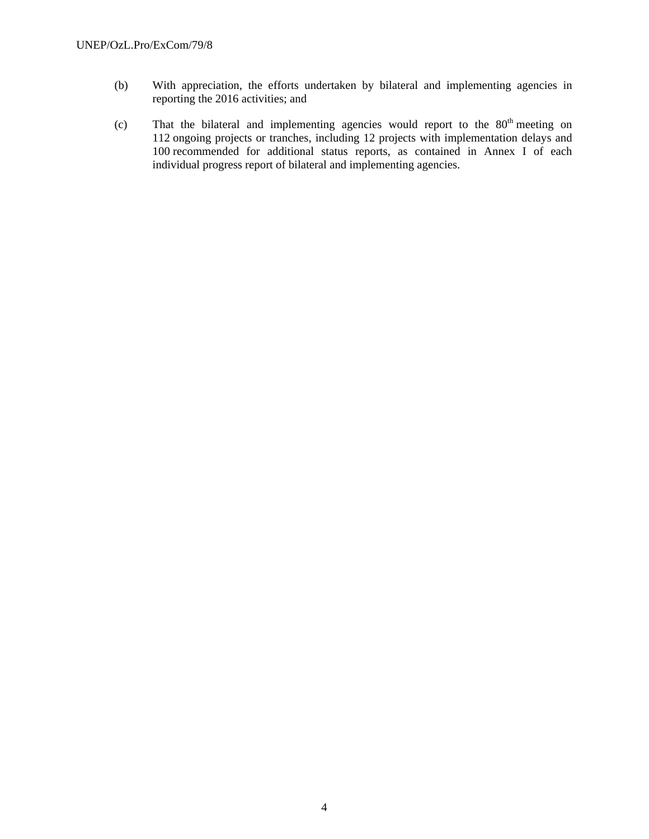- (b) With appreciation, the efforts undertaken by bilateral and implementing agencies in reporting the 2016 activities; and
- (c) That the bilateral and implementing agencies would report to the  $80<sup>th</sup>$  meeting on 112 ongoing projects or tranches, including 12 projects with implementation delays and 100 recommended for additional status reports, as contained in Annex I of each individual progress report of bilateral and implementing agencies.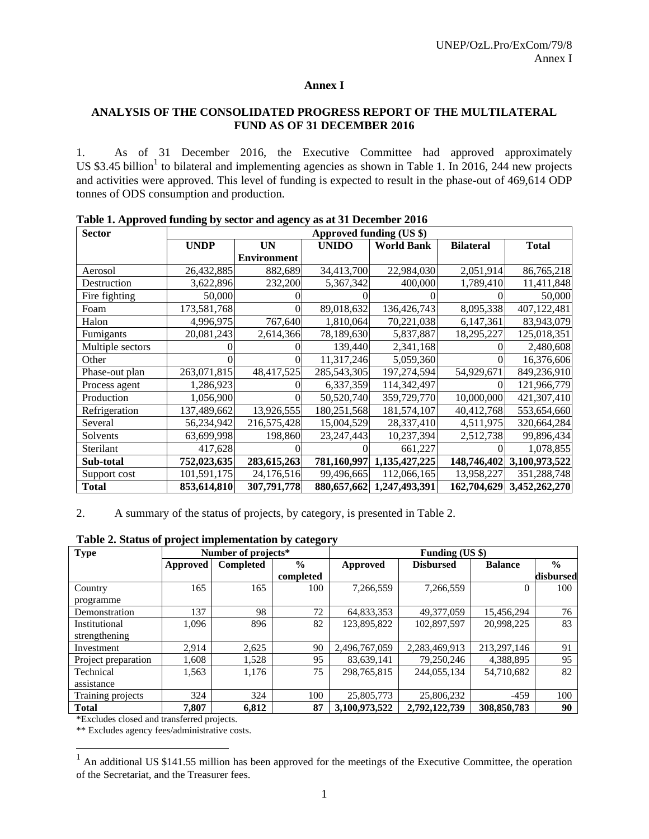### **Annex I**

## **ANALYSIS OF THE CONSOLIDATED PROGRESS REPORT OF THE MULTILATERAL FUND AS OF 31 DECEMBER 2016**

1. As of 31 December 2016, the Executive Committee had approved approximately US \$3.45 billion<sup>1</sup> to bilateral and implementing agencies as shown in Table 1. In 2016, 244 new projects and activities were approved. This level of funding is expected to result in the phase-out of 469,614 ODP tonnes of ODS consumption and production.

| <b>Sector</b>    | Approved funding (US \$) |                    |              |                   |                  |               |  |  |  |  |  |
|------------------|--------------------------|--------------------|--------------|-------------------|------------------|---------------|--|--|--|--|--|
|                  | <b>UNDP</b>              | UN                 | <b>UNIDO</b> | <b>World Bank</b> | <b>Bilateral</b> | <b>Total</b>  |  |  |  |  |  |
|                  |                          | <b>Environment</b> |              |                   |                  |               |  |  |  |  |  |
| Aerosol          | 26,432,885               | 882,689            | 34,413,700   | 22,984,030        | 2,051,914        | 86,765,218    |  |  |  |  |  |
| Destruction      | 3,622,896                | 232,200            | 5,367,342    | 400,000           | 1,789,410        | 11,411,848    |  |  |  |  |  |
| Fire fighting    | 50,000                   |                    |              |                   |                  | 50,000        |  |  |  |  |  |
| Foam             | 173,581,768              |                    | 89,018,632   | 136,426,743       | 8,095,338        | 407,122,481   |  |  |  |  |  |
| Halon            | 4,996,975                | 767,640            | 1,810,064    | 70,221,038        | 6,147,361        | 83,943,079    |  |  |  |  |  |
| Fumigants        | 20,081,243               | 2,614,366          | 78,189,630   | 5,837,887         | 18,295,227       | 125,018,351   |  |  |  |  |  |
| Multiple sectors |                          |                    | 139,440      | 2,341,168         |                  | 2,480,608     |  |  |  |  |  |
| Other            |                          |                    | 11,317,246   | 5,059,360         |                  | 16,376,606    |  |  |  |  |  |
| Phase-out plan   | 263,071,815              | 48,417,525         | 285,543,305  | 197,274,594       | 54,929,671       | 849,236,910   |  |  |  |  |  |
| Process agent    | 1,286,923                |                    | 6,337,359    | 114,342,497       |                  | 121,966,779   |  |  |  |  |  |
| Production       | 1,056,900                |                    | 50,520,740   | 359,729,770       | 10,000,000       | 421,307,410   |  |  |  |  |  |
| Refrigeration    | 137,489,662              | 13,926,555         | 180,251,568  | 181,574,107       | 40,412,768       | 553,654,660   |  |  |  |  |  |
| Several          | 56,234,942               | 216,575,428        | 15,004,529   | 28,337,410        | 4,511,975        | 320,664,284   |  |  |  |  |  |
| Solvents         | 63,699,998               | 198,860            | 23, 247, 443 | 10,237,394        | 2,512,738        | 99,896,434    |  |  |  |  |  |
| Sterilant        | 417,628                  |                    |              | 661,227           |                  | 1,078,855     |  |  |  |  |  |
| Sub-total        | 752,023,635              | 283,615,263        | 781,160,997  | 1,135,427,225     | 148,746,402      | 3,100,973,522 |  |  |  |  |  |
| Support cost     | 101,591,175              | 24,176,516         | 99,496,665   | 112,066,165       | 13,958,227       | 351,288,748   |  |  |  |  |  |
| <b>Total</b>     | 853,614,810              | 307,791,778        | 880,657,662  | 1,247,493,391     | 162,704,629      | 3,452,262,270 |  |  |  |  |  |

**Table 1. Approved funding by sector and agency as at 31 December 2016** 

2. A summary of the status of projects, by category, is presented in Table 2.

| Table 2. Status of project implementation by category |
|-------------------------------------------------------|
|-------------------------------------------------------|

| <b>Type</b>         | Number of projects* |                  |               |               | Funding (US \$)  |                |               |  |  |
|---------------------|---------------------|------------------|---------------|---------------|------------------|----------------|---------------|--|--|
|                     | <b>Approved</b>     | <b>Completed</b> | $\frac{0}{0}$ | Approved      | <b>Disbursed</b> | <b>Balance</b> | $\frac{0}{0}$ |  |  |
|                     |                     |                  | completed     |               |                  |                | disbursed     |  |  |
| Country             | 165                 | 165              | 100           | 7,266,559     | 7,266,559        | 0              | 100           |  |  |
| programme           |                     |                  |               |               |                  |                |               |  |  |
| Demonstration       | 137                 | 98               | 72            | 64,833,353    | 49,377,059       | 15,456,294     | 76            |  |  |
| Institutional       | 1,096               | 896              | 82            | 123,895,822   | 102,897,597      | 20,998,225     | 83            |  |  |
| strengthening       |                     |                  |               |               |                  |                |               |  |  |
| Investment          | 2,914               | 2,625            | 90            | 2,496,767,059 | 2,283,469,913    | 213, 297, 146  | 91            |  |  |
| Project preparation | 1,608               | 1,528            | 95            | 83,639,141    | 79,250,246       | 4,388,895      | 95            |  |  |
| Technical           | 1,563               | 1,176            | 75            | 298,765,815   | 244,055,134      | 54,710,682     | 82            |  |  |
| assistance          |                     |                  |               |               |                  |                |               |  |  |
| Training projects   | 324                 | 324              | 100           | 25,805,773    | 25,806,232       | $-459$         | 100           |  |  |
| <b>Total</b>        | 7.807               | 6,812            | 87            | 3,100,973,522 | 2,792,122,739    | 308,850,783    | 90            |  |  |

\*Excludes closed and transferred projects.

l

\*\* Excludes agency fees/administrative costs.

<sup>1</sup> An additional US \$141.55 million has been approved for the meetings of the Executive Committee, the operation of the Secretariat, and the Treasurer fees.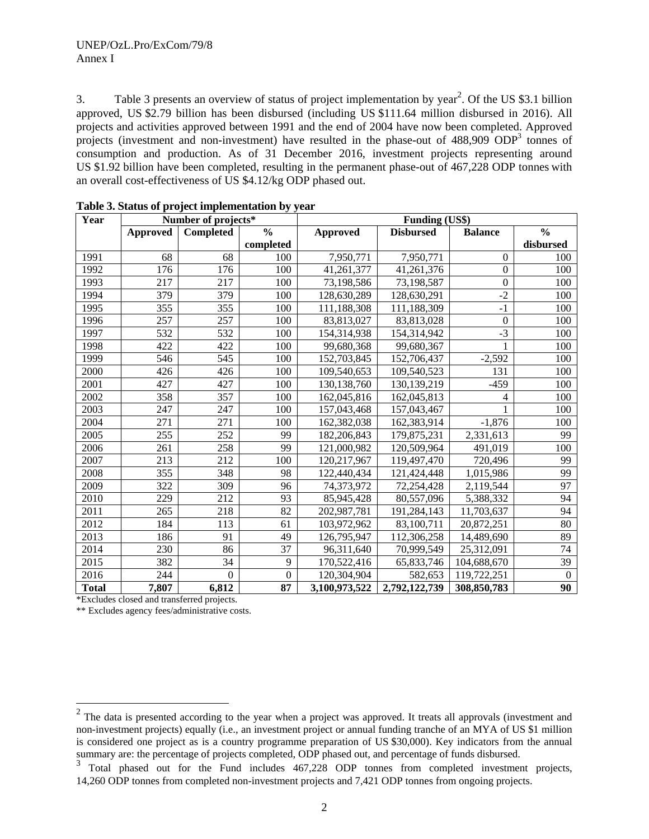3. Table 3 presents an overview of status of project implementation by year<sup>2</sup>. Of the US \$3.1 billion approved, US \$2.79 billion has been disbursed (including US \$111.64 million disbursed in 2016). All projects and activities approved between 1991 and the end of 2004 have now been completed. Approved projects (investment and non-investment) have resulted in the phase-out of 488,909 ODP<sup>3</sup> tonnes of consumption and production. As of 31 December 2016, investment projects representing around US \$1.92 billion have been completed, resulting in the permanent phase-out of 467,228 ODP tonnes with an overall cost-effectiveness of US \$4.12/kg ODP phased out.

| Year         |          | Number of projects* |                  |                 | <b>Funding (US\$)</b> |                  |               |
|--------------|----------|---------------------|------------------|-----------------|-----------------------|------------------|---------------|
|              | Approved | <b>Completed</b>    | $\frac{0}{0}$    | <b>Approved</b> | <b>Disbursed</b>      | <b>Balance</b>   | $\frac{0}{0}$ |
|              |          |                     | completed        |                 |                       |                  | disbursed     |
| 1991         | 68       | 68                  | 100              | 7,950,771       | 7,950,771             | $\Omega$         | 100           |
| 1992         | 176      | 176                 | 100              | 41,261,377      | 41,261,376            | $\boldsymbol{0}$ | 100           |
| 1993         | 217      | 217                 | 100              | 73,198,586      | 73,198,587            | $\boldsymbol{0}$ | 100           |
| 1994         | 379      | 379                 | 100              | 128,630,289     | 128,630,291           | $-2$             | 100           |
| 1995         | 355      | 355                 | 100              | 111,188,308     | 111,188,309           | $-1$             | 100           |
| 1996         | 257      | 257                 | 100              | 83,813,027      | 83,813,028            | $\boldsymbol{0}$ | 100           |
| 1997         | 532      | 532                 | 100              | 154,314,938     | 154,314,942           | $-3$             | 100           |
| 1998         | 422      | 422                 | 100              | 99,680,368      | 99,680,367            |                  | 100           |
| 1999         | 546      | 545                 | 100              | 152,703,845     | 152,706,437           | $-2,592$         | 100           |
| 2000         | 426      | 426                 | 100              | 109,540,653     | 109,540,523           | 131              | 100           |
| 2001         | 427      | 427                 | 100              | 130,138,760     | 130,139,219           | $-459$           | 100           |
| 2002         | 358      | 357                 | 100              | 162,045,816     | 162,045,813           | 4                | 100           |
| 2003         | 247      | 247                 | 100              | 157,043,468     | 157,043,467           | 1                | 100           |
| 2004         | 271      | 271                 | 100              | 162,382,038     | 162,383,914           | $-1,876$         | 100           |
| 2005         | 255      | 252                 | 99               | 182,206,843     | 179,875,231           | 2,331,613        | 99            |
| 2006         | 261      | 258                 | 99               | 121,000,982     | 120,509,964           | 491,019          | 100           |
| 2007         | 213      | 212                 | 100              | 120,217,967     | 119,497,470           | 720,496          | 99            |
| 2008         | 355      | 348                 | 98               | 122,440,434     | 121,424,448           | 1,015,986        | 99            |
| 2009         | 322      | 309                 | 96               | 74,373,972      | 72,254,428            | 2,119,544        | 97            |
| 2010         | 229      | 212                 | 93               | 85,945,428      | 80,557,096            | 5,388,332        | 94            |
| 2011         | 265      | 218                 | 82               | 202,987,781     | 191,284,143           | 11,703,637       | 94            |
| 2012         | 184      | 113                 | 61               | 103,972,962     | 83,100,711            | 20,872,251       | 80            |
| 2013         | 186      | 91                  | 49               | 126,795,947     | 112,306,258           | 14,489,690       | 89            |
| 2014         | 230      | 86                  | 37               | 96,311,640      | 70,999,549            | 25,312,091       | 74            |
| 2015         | 382      | 34                  | 9                | 170,522,416     | 65,833,746            | 104,688,670      | 39            |
| 2016         | 244      | $\overline{0}$      | $\boldsymbol{0}$ | 120,304,904     | 582,653               | 119,722,251      | $\theta$      |
| <b>Total</b> | 7,807    | 6,812               | 87               | 3,100,973,522   | 2,792,122,739         | 308,850,783      | 90            |

|  | Table 3. Status of project implementation by year |  |
|--|---------------------------------------------------|--|
|  |                                                   |  |

\*Excludes closed and transferred projects.

\*\* Excludes agency fees/administrative costs.

<sup>&</sup>lt;sup>2</sup> The data is presented according to the year when a project was approved. It treats all approvals (investment and non-investment projects) equally (i.e., an investment project or annual funding tranche of an MYA of US \$1 million is considered one project as is a country programme preparation of US \$30,000). Key indicators from the annual summary are: the percentage of projects completed, ODP phased out, and percentage of funds disbursed.<br><sup>3</sup> Tetal where the sure for the Funds includes 467,228, ODP, tennes from completed investment

Total phased out for the Fund includes 467,228 ODP tonnes from completed investment projects, 14,260 ODP tonnes from completed non-investment projects and 7,421 ODP tonnes from ongoing projects.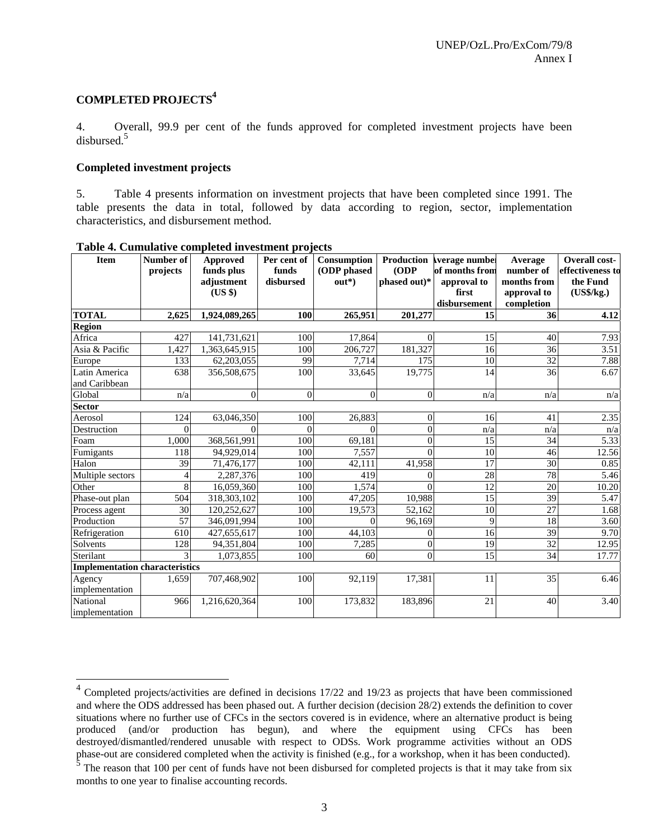## **COMPLETED PROJECTS4**

4. Overall, 99.9 per cent of the funds approved for completed investment projects have been disbursed.<sup>5</sup>

### **Completed investment projects**

5. Table 4 presents information on investment projects that have been completed since 1991. The table presents the data in total, followed by data according to region, sector, implementation characteristics, and disbursement method.

| <b>Item</b>                           | Number of       | <b>Approved</b>          | Per cent of<br>funds | Consumption<br>(ODP phased | Production<br>(ODP) | verage number<br>of months from | Average<br>number of | Overall cost-<br>effectiveness to |
|---------------------------------------|-----------------|--------------------------|----------------------|----------------------------|---------------------|---------------------------------|----------------------|-----------------------------------|
|                                       | projects        | funds plus<br>adjustment | disbursed            | $out*)$                    | phased out)*        | approval to                     | months from          | the Fund                          |
|                                       |                 | $(US \$                  |                      |                            |                     | first                           | approval to          | (US\$/kg.)                        |
|                                       |                 |                          |                      |                            |                     | disbursement                    | completion           |                                   |
| <b>TOTAL</b>                          | 2.625           | 1,924,089,265            | 100                  | 265,951                    | 201,277             | 15                              | 36                   | 4.12                              |
| <b>Region</b>                         |                 |                          |                      |                            |                     |                                 |                      |                                   |
| Africa                                | 427             | 141,731,621              | 100                  | 17,864                     | $\Omega$            | 15                              | 40                   | 7.93                              |
| Asia & Pacific                        | 1,427           | 1,363,645,915            | 100                  | 206,727                    | 181,327             | 16                              | $\overline{36}$      | 3.51                              |
| Europe                                | 133             | 62,203,055               | 99                   | 7,714                      | 175                 | 10                              | 32                   | 7.88                              |
| Latin America                         | 638             | 356,508,675              | 100                  | 33,645                     | 19,775              | 14                              | 36                   | 6.67                              |
| and Caribbean                         |                 |                          |                      |                            |                     |                                 |                      |                                   |
| Global                                | n/a             | $\Omega$                 | $\overline{0}$       | $\Omega$                   | $\Omega$            | n/a                             | n/a                  | n/a                               |
| Sector                                |                 |                          |                      |                            |                     |                                 |                      |                                   |
| Aerosol                               | 124             | 63,046,350               | 100                  | 26,883                     | $\Omega$            | 16                              | 41                   | 2.35                              |
| Destruction                           | $\Omega$        |                          | $\theta$             | 0                          | $\theta$            | n/a                             | n/a                  | n/a                               |
| Foam                                  | 1.000           | 368,561,991              | 100                  | 69,181                     | $\Omega$            | 15                              | 34                   | 5.33                              |
| Fumigants                             | 118             | 94,929,014               | 100                  | 7,557                      | $\Omega$            | 10                              | 46                   | 12.56                             |
| Halon                                 | 39              | 71,476,177               | 100                  | 42.111                     | 41,958              | 17                              | 30                   | 0.85                              |
| Multiple sectors                      | $\overline{A}$  | 2,287,376                | 100                  | 419                        | 0                   | $\overline{28}$                 | 78                   | 5.46                              |
| Other                                 | 8               | 16,059,360               | 100                  | 1,574                      | $\Omega$            | 12                              | $\overline{20}$      | 10.20                             |
| Phase-out plan                        | 504             | 318,303,102              | 100                  | 47,205                     | 10.988              | 15                              | 39                   | 5.47                              |
| Process agent                         | 30              | 120,252,627              | 100                  | 19,573                     | 52,162              | 10                              | $\overline{27}$      | 1.68                              |
| Production                            | $\overline{57}$ | 346,091,994              | 100                  | $\Omega$                   | 96,169              | $\overline{9}$                  | 18                   | 3.60                              |
| Refrigeration                         | 610             | 427,655,617              | 100                  | 44.103                     | $\Omega$            | 16                              | 39                   | 9.70                              |
| Solvents                              | 128             | 94,351,804               | 100                  | 7,285                      | $\Omega$            | 19                              | 32                   | 12.95                             |
| Sterilant                             |                 | 1,073,855                | 100                  | 60                         | $\Omega$            | $\overline{15}$                 | 34                   | 17.77                             |
| <b>Implementation characteristics</b> |                 |                          |                      |                            |                     |                                 |                      |                                   |
| Agency                                | 1,659           | 707,468,902              | 100                  | 92,119                     | 17,381              | 11                              | 35                   | 6.46                              |
| implementation                        |                 |                          |                      |                            |                     |                                 |                      |                                   |
| National                              | 966             | 1,216,620,364            | 100                  | 173,832                    | 183,896             | 21                              | 40                   | 3.40                              |
| implementation                        |                 |                          |                      |                            |                     |                                 |                      |                                   |

**Table 4. Cumulative completed investment projects** 

 $\overline{a}$ 

 $4$  Completed projects/activities are defined in decisions 17/22 and 19/23 as projects that have been commissioned and where the ODS addressed has been phased out. A further decision (decision 28/2) extends the definition to cover situations where no further use of CFCs in the sectors covered is in evidence, where an alternative product is being produced (and/or production has begun), and where the equipment using CFCs has been destroyed/dismantled/rendered unusable with respect to ODSs. Work programme activities without an ODS phase-out are considered completed when the activity is finished (e.g., for a workshop, when it has been conducted).<br><sup>5</sup> The reason that 100 per cent of funds have not been disbursed for completed projects is that it may t

months to one year to finalise accounting records.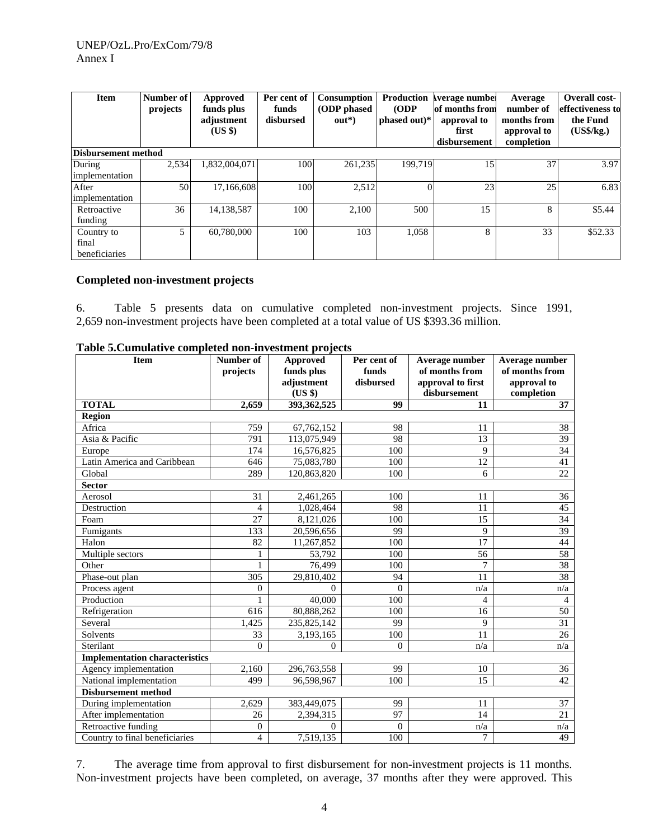| <b>Item</b>         | Number of<br>projects | Approved<br>funds plus<br>adjustment<br>$(US \$ | Per cent of<br>funds<br>disbursed | <b>Consumption</b><br>(ODP phased)<br>$out*)$ | <b>Production</b><br>(ODP)<br>phased out)* | verage number<br>of months from<br>approval to<br>first<br>disbursement | Average<br>number of<br>months from<br>approval to<br>completion | <b>Overall cost-</b><br>effectiveness to<br>the Fund<br>(US\$/kg.) |
|---------------------|-----------------------|-------------------------------------------------|-----------------------------------|-----------------------------------------------|--------------------------------------------|-------------------------------------------------------------------------|------------------------------------------------------------------|--------------------------------------------------------------------|
| Disbursement method |                       |                                                 |                                   |                                               |                                            |                                                                         |                                                                  |                                                                    |
| During              | 2,534                 | 1,832,004,071                                   | 100                               | 261,235                                       | 199.719                                    | 15 <sup>1</sup>                                                         | 37                                                               | 3.97                                                               |
| implementation      |                       |                                                 |                                   |                                               |                                            |                                                                         |                                                                  |                                                                    |
| After               | 50                    | 17,166,608                                      | 100                               | 2,512                                         | $\Omega$                                   | 23                                                                      | 25                                                               | 6.83                                                               |
| implementation      |                       |                                                 |                                   |                                               |                                            |                                                                         |                                                                  |                                                                    |
| Retroactive         | 36                    | 14,138,587                                      | 100                               | 2,100                                         | 500                                        | 15                                                                      | 8                                                                | \$5.44                                                             |
| funding             |                       |                                                 |                                   |                                               |                                            |                                                                         |                                                                  |                                                                    |
| Country to          | 5                     | 60,780,000                                      | 100                               | 103                                           | 1,058                                      | 8                                                                       | 33                                                               | \$52.33                                                            |
| final               |                       |                                                 |                                   |                                               |                                            |                                                                         |                                                                  |                                                                    |
| beneficiaries       |                       |                                                 |                                   |                                               |                                            |                                                                         |                                                                  |                                                                    |

## **Completed non-investment projects**

6. Table 5 presents data on cumulative completed non-investment projects. Since 1991, 2,659 non-investment projects have been completed at a total value of US \$393.36 million.

| <b>Item</b>                           | Number of      | <b>Approved</b> | Per cent of    | Average number    | Average number  |
|---------------------------------------|----------------|-----------------|----------------|-------------------|-----------------|
|                                       | projects       | funds plus      | funds          | of months from    | of months from  |
|                                       |                | adjustment      | disbursed      | approval to first | approval to     |
|                                       |                | (US \$)         |                | disbursement      | completion      |
| <b>TOTAL</b>                          | 2,659          | 393,362,525     | 99             | 11                | 37              |
| <b>Region</b>                         |                |                 |                |                   |                 |
| Africa                                | 759            | 67,762,152      | 98             | 11                | 38              |
| Asia & Pacific                        | 791            | 113,075,949     | 98             | 13                | 39              |
| Europe                                | 174            | 16,576,825      | 100            | 9                 | $\overline{34}$ |
| Latin America and Caribbean           | 646            | 75,083,780      | 100            | 12                | 41              |
| Global                                | 289            | 120,863,820     | 100            | 6                 | 22              |
| <b>Sector</b>                         |                |                 |                |                   |                 |
| Aerosol                               | 31             | 2,461,265       | 100            | 11                | 36              |
| Destruction                           | $\overline{4}$ | 1,028,464       | 98             | 11                | 45              |
| Foam                                  | 27             | 8,121,026       | 100            | 15                | 34              |
| Fumigants                             | 133            | 20,596,656      | 99             | 9                 | 39              |
| Halon                                 | 82             | 11,267,852      | 100            | 17                | 44              |
| Multiple sectors                      | $\mathbf{1}$   | 53,792          | 100            | 56                | 58              |
| Other                                 | $\mathbf{1}$   | 76,499          | 100            | $\overline{7}$    | 38              |
| Phase-out plan                        | 305            | 29,810,402      | 94             | 11                | 38              |
| Process agent                         | $\mathbf{0}$   | $\Omega$        | $\Omega$       | n/a               | n/a             |
| Production                            |                | 40,000          | 100            | 4                 | $\overline{4}$  |
| Refrigeration                         | 616            | 80,888,262      | 100            | 16                | 50              |
| Several                               | 1,425          | 235,825,142     | 99             | $\mathbf Q$       | $\overline{31}$ |
| Solvents                              | 33             | 3,193,165       | 100            | 11                | 26              |
| Sterilant                             | $\overline{0}$ | $\overline{0}$  | $\overline{0}$ | n/a               | n/a             |
| <b>Implementation characteristics</b> |                |                 |                |                   |                 |
| Agency implementation                 | 2,160          | 296,763,558     | 99             | 10                | 36              |
| National implementation               | 499            | 96,598,967      | 100            | 15                | 42              |
| <b>Disbursement method</b>            |                |                 |                |                   |                 |
| During implementation                 | 2,629          | 383,449,075     | 99             | 11                | 37              |
| After implementation                  | 26             | 2,394,315       | 97             | 14                | 21              |
| Retroactive funding                   | $\theta$       | $\theta$        | $\overline{0}$ | n/a               | n/a             |
| Country to final beneficiaries        | $\overline{4}$ | 7,519,135       | 100            | $\tau$            | 49              |

**Table 5.Cumulative completed non-investment projects** 

7. The average time from approval to first disbursement for non-investment projects is 11 months. Non-investment projects have been completed, on average, 37 months after they were approved. This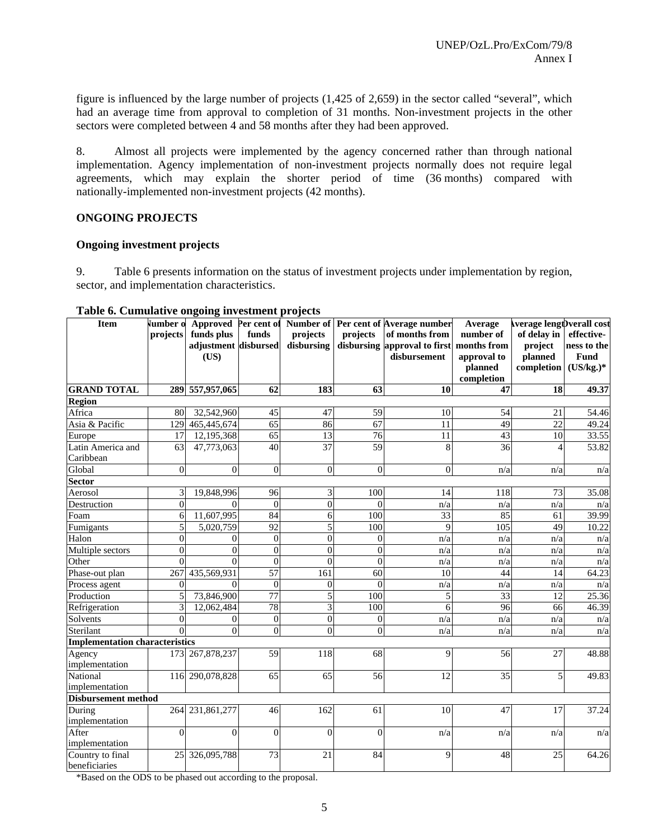figure is influenced by the large number of projects (1,425 of 2,659) in the sector called "several", which had an average time from approval to completion of 31 months. Non-investment projects in the other sectors were completed between 4 and 58 months after they had been approved.

8. Almost all projects were implemented by the agency concerned rather than through national implementation. Agency implementation of non-investment projects normally does not require legal agreements, which may explain the shorter period of time (36 months) compared with nationally-implemented non-investment projects (42 months).

### **ONGOING PROJECTS**

### **Ongoing investment projects**

9. Table 6 presents information on the status of investment projects under implementation by region, sector, and implementation characteristics.

| rasic of cumulative ongoing investment projects<br><b>Item</b> |          |                      |                  |                  |                 | <b>Number of Approved Per cent of Number of Per cent of Average number</b> | Average         | verage lengt) verall cost |              |
|----------------------------------------------------------------|----------|----------------------|------------------|------------------|-----------------|----------------------------------------------------------------------------|-----------------|---------------------------|--------------|
|                                                                | projects | funds plus           | funds            | projects         | projects        | of months from                                                             | number of       | of delay in               | effective-   |
|                                                                |          | adjustment disbursed |                  | disbursing       |                 | disbursing approval to first                                               | months from     |                           | ness to the  |
|                                                                |          | (US)                 |                  |                  |                 | disbursement                                                               | approval to     | project<br>planned        | <b>Fund</b>  |
|                                                                |          |                      |                  |                  |                 |                                                                            | planned         | completion                | $(US/kg.)^*$ |
|                                                                |          |                      |                  |                  |                 |                                                                            | completion      |                           |              |
| <b>GRAND TOTAL</b>                                             |          | 289 557,957,065      | 62               | 183              | 63              | 10                                                                         | 47              | $\overline{18}$           | 49.37        |
| <b>Region</b>                                                  |          |                      |                  |                  |                 |                                                                            |                 |                           |              |
| Africa                                                         | 80       | 32,542,960           | 45               | 47               | 59              | 10                                                                         | 54              | 21                        | 54.46        |
| Asia & Pacific                                                 | 129      | 465,445,674          | 65               | 86               | $\overline{67}$ | 11                                                                         | 49              | 22                        | 49.24        |
| Europe                                                         | 17       | 12,195,368           | 65               | 13               | 76              | 11                                                                         | 43              | 10                        | 33.55        |
| Latin America and                                              | 63       | 47,773,063           | 40               | $\overline{37}$  | $\overline{59}$ | 8                                                                          | 36              | $\overline{4}$            | 53.82        |
| Caribbean                                                      |          |                      |                  |                  |                 |                                                                            |                 |                           |              |
| Global                                                         | $\Omega$ | $\theta$             | $\boldsymbol{0}$ | $\boldsymbol{0}$ | $\Omega$        | $\boldsymbol{0}$                                                           | n/a             | n/a                       | n/a          |
| <b>Sector</b>                                                  |          |                      |                  |                  |                 |                                                                            |                 |                           |              |
| Aerosol                                                        | 3        | 19,848,996           | 96               | $\overline{3}$   | 100             | $\overline{14}$                                                            | 118             | 73                        | 35.08        |
| Destruction                                                    | $\theta$ | $\Omega$             | $\theta$         | $\overline{0}$   | $\Omega$        | n/a                                                                        | n/a             | n/a                       | n/a          |
| Foam                                                           | 6        | 11,607,995           | 84               | 6                | 100             | 33                                                                         | 85              | 61                        | 39.99        |
| Fumigants                                                      | 5        | 5,020,759            | 92               | $\overline{5}$   | 100             | 9                                                                          | 105             | 49                        | 10.22        |
| Halon                                                          | $\Omega$ | $\theta$             | $\overline{0}$   | $\mathbf{0}$     | $\theta$        | n/a                                                                        | n/a             | n/a                       | n/a          |
| Multiple sectors                                               | $\Omega$ | $\Omega$             | $\boldsymbol{0}$ | $\mathbf{0}$     | $\mathbf{0}$    | n/a                                                                        | n/a             | n/a                       | n/a          |
| Other                                                          | $\Omega$ | $\theta$             | $\overline{0}$   | $\theta$         | $\theta$        | n/a                                                                        | n/a             | n/a                       | n/a          |
| Phase-out plan                                                 | 267      | 435,569,931          | $\overline{57}$  | 161              | 60              | 10                                                                         | 44              | 14                        | 64.23        |
| Process agent                                                  | $\Omega$ | $\Omega$             | $\overline{0}$   | $\boldsymbol{0}$ | $\theta$        | n/a                                                                        | n/a             | n/a                       | n/a          |
| Production                                                     | 5        | 73,846,900           | $\overline{77}$  | 5                | 100             | 5                                                                          | 33              | 12                        | 25.36        |
| Refrigeration                                                  | 3        | 12,062,484           | 78               | $\overline{3}$   | 100             | 6                                                                          | 96              | 66                        | 46.39        |
| Solvents                                                       | $\Omega$ | $\Omega$             | $\overline{0}$   | $\mathbf{0}$     | $\overline{0}$  | n/a                                                                        | n/a             | n/a                       | n/a          |
| Sterilant                                                      | $\Omega$ | $\theta$             | $\overline{0}$   | $\mathbf{0}$     | $\Omega$        | n/a                                                                        | n/a             | n/a                       | n/a          |
| <b>Implementation characteristics</b>                          |          |                      |                  |                  |                 |                                                                            |                 |                           |              |
| Agency                                                         |          | 173 267,878,237      | 59               | 118              | 68              | 9                                                                          | 56              | 27                        | 48.88        |
| implementation                                                 |          |                      |                  |                  |                 |                                                                            |                 |                           |              |
| National                                                       |          | 116 290,078,828      | 65               | 65               | 56              | 12                                                                         | $\overline{35}$ | 5                         | 49.83        |
| implementation                                                 |          |                      |                  |                  |                 |                                                                            |                 |                           |              |
| <b>Disbursement method</b>                                     |          |                      |                  |                  |                 |                                                                            |                 |                           |              |
| During                                                         |          | 264 231,861,277      | 46               | 162              | 61              | 10                                                                         | 47              | $\overline{17}$           | 37.24        |
| implementation                                                 |          |                      |                  |                  |                 |                                                                            |                 |                           |              |
| After                                                          | $\Omega$ | $\Omega$             | $\overline{0}$   | $\Omega$         | $\theta$        | n/a                                                                        | n/a             | n/a                       | n/a          |
| implementation                                                 |          |                      |                  |                  |                 |                                                                            |                 |                           |              |
| Country to final                                               | 25       | 326,095,788          | 73               | 21               | 84              | 9                                                                          | 48              | 25                        | 64.26        |
| beneficiaries                                                  |          |                      |                  |                  |                 |                                                                            |                 |                           |              |

#### **Table 6. Cumulative ongoing investment projects**

\*Based on the ODS to be phased out according to the proposal.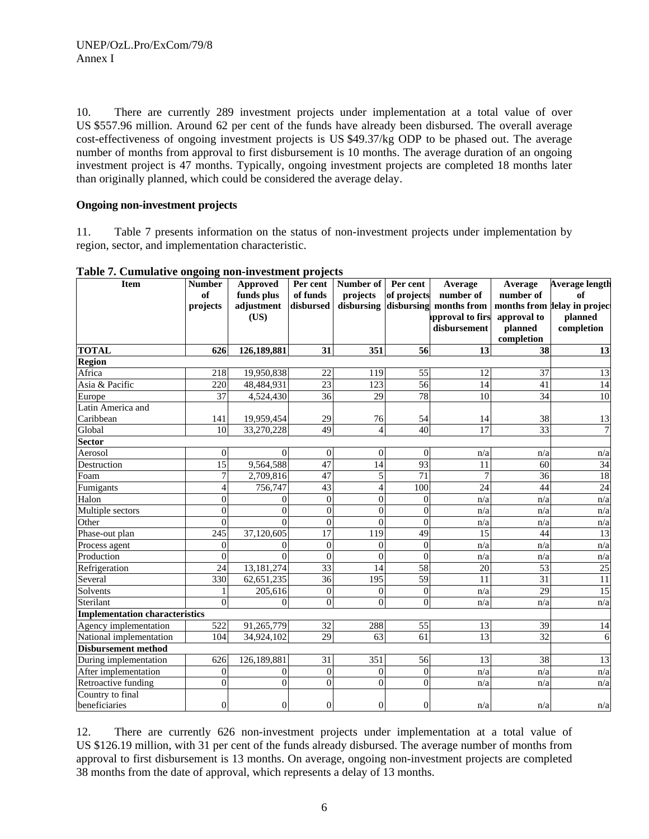10. There are currently 289 investment projects under implementation at a total value of over US \$557.96 million. Around 62 per cent of the funds have already been disbursed. The overall average cost-effectiveness of ongoing investment projects is US \$49.37/kg ODP to be phased out. The average number of months from approval to first disbursement is 10 months. The average duration of an ongoing investment project is 47 months. Typically, ongoing investment projects are completed 18 months later than originally planned, which could be considered the average delay.

## **Ongoing non-investment projects**

11. Table 7 presents information on the status of non-investment projects under implementation by region, sector, and implementation characteristic.

| <b>Item</b>                           | <b>Number</b>  | <b>Approved</b>  | Per cent        | Number of Per cent |                 | Average                | Average         | <b>Average length</b>        |
|---------------------------------------|----------------|------------------|-----------------|--------------------|-----------------|------------------------|-----------------|------------------------------|
|                                       | of             | funds plus       | of funds        | projects           | of projects     | number of              | number of       | of                           |
|                                       | projects       | adjustment       | disbursed       | disbursing         |                 | disbursing months from |                 | months from lelay in project |
|                                       |                | (US)             |                 |                    |                 | pproval to firs        | approval to     | planned                      |
|                                       |                |                  |                 |                    |                 | disbursement           | planned         | completion                   |
|                                       |                |                  |                 |                    |                 |                        | completion      |                              |
| <b>TOTAL</b>                          | 626            | 126,189,881      | 31              | 351                | 56              | 13                     | 38              | 13                           |
| <b>Region</b>                         |                |                  |                 |                    |                 |                        |                 |                              |
| Africa                                | 218            | 19,950,838       | 22              | 119                | 55              | 12                     | 37              | 13                           |
| Asia & Pacific                        | 220            | 48,484,931       | $\overline{23}$ | 123                | 56              | 14                     | 41              | 14                           |
| Europe                                | 37             | 4,524,430        | 36              | 29                 | 78              | 10                     | 34              | 10                           |
| Latin America and                     |                |                  |                 |                    |                 |                        |                 |                              |
| Caribbean                             | 141            | 19,959,454       | 29              | 76                 | 54              | 14                     | 38              | 13                           |
| Global                                | 10             | 33,270,228       | 49              | $\overline{4}$     | 40              | $\overline{17}$        | 33              | $\overline{7}$               |
| Sector                                |                |                  |                 |                    |                 |                        |                 |                              |
| Aerosol                               | $\overline{0}$ | $\Omega$         | $\overline{0}$  | $\overline{0}$     | $\Omega$        | n/a                    | n/a             | n/a                          |
| Destruction                           | 15             | 9,564,588        | 47              | 14                 | 93              | 11                     | 60              | 34                           |
| Foam                                  | $\tau$         | 2,709,816        | 47              | 5                  | 71              | $\overline{7}$         | 36              | 18                           |
| Fumigants                             | 4              | 756,747          | 43              | $\overline{4}$     | 100             | 24                     | 44              | $\overline{24}$              |
| Halon                                 | $\overline{0}$ | 0                | $\Omega$        | $\overline{0}$     | $\Omega$        | n/a                    | n/a             | n/a                          |
| Multiple sectors                      | $\overline{0}$ | $\Omega$         | $\Omega$        | $\overline{0}$     | $\Omega$        | n/a                    | n/a             | n/a                          |
| Other                                 | $\overline{0}$ | $\Omega$         | $\mathbf{0}$    | $\overline{0}$     | $\overline{0}$  | n/a                    | n/a             | n/a                          |
| Phase-out plan                        | 245            | 37,120,605       | 17              | $\overline{119}$   | 49              | 15                     | 44              | 13                           |
| Process agent                         | $\overline{0}$ | $\theta$         | $\overline{0}$  | $\boldsymbol{0}$   | $\overline{0}$  | n/a                    | n/a             | n/a                          |
| Production                            | $\overline{0}$ | $\theta$         | $\Omega$        | $\overline{0}$     | $\Omega$        | n/a                    | n/a             | n/a                          |
| Refrigeration                         | 24             | 13,181,274       | 33              | 14                 | $\overline{58}$ | $\overline{20}$        | 53              | $\overline{25}$              |
| Several                               | 330            | 62,651,235       | $\overline{36}$ | 195                | $\overline{59}$ | 11                     | $\overline{31}$ | $\overline{11}$              |
| Solvents                              |                | 205,616          | $\mathbf{0}$    | $\overline{0}$     | $\overline{0}$  | n/a                    | $\overline{29}$ | $\overline{15}$              |
| Sterilant                             | $\overline{0}$ | $\overline{0}$   | $\mathbf{0}$    | $\mathbf{0}$       | $\theta$        | n/a                    | n/a             | n/a                          |
| <b>Implementation characteristics</b> |                |                  |                 |                    |                 |                        |                 |                              |
| Agency implementation                 | 522            | 91,265,779       | 32              | 288                | 55              | 13                     | 39              | 14                           |
| National implementation               | 104            | 34,924,102       | $\overline{29}$ | 63                 | 61              | $\overline{13}$        | $\overline{32}$ | 6                            |
| <b>Disbursement method</b>            |                |                  |                 |                    |                 |                        |                 |                              |
| During implementation                 | 626            | 126,189,881      | 31              | 351                | 56              | 13                     | 38              | 13                           |
| After implementation                  | $\mathbf{0}$   | $\boldsymbol{0}$ | $\overline{0}$  | $\theta$           | $\overline{0}$  | n/a                    | n/a             | n/a                          |
| Retroactive funding                   | $\mathbf{0}$   | $\overline{0}$   | $\Omega$        | $\overline{0}$     | $\Omega$        | n/a                    | n/a             | n/a                          |
| Country to final                      |                |                  |                 |                    |                 |                        |                 |                              |
| beneficiaries                         | $\overline{0}$ | $\boldsymbol{0}$ | $\overline{0}$  | $\boldsymbol{0}$   | $\overline{0}$  | n/a                    | n/a             | n/a                          |

**Table 7. Cumulative ongoing non-investment projects** 

12. There are currently 626 non-investment projects under implementation at a total value of US \$126.19 million, with 31 per cent of the funds already disbursed. The average number of months from approval to first disbursement is 13 months. On average, ongoing non-investment projects are completed 38 months from the date of approval, which represents a delay of 13 months.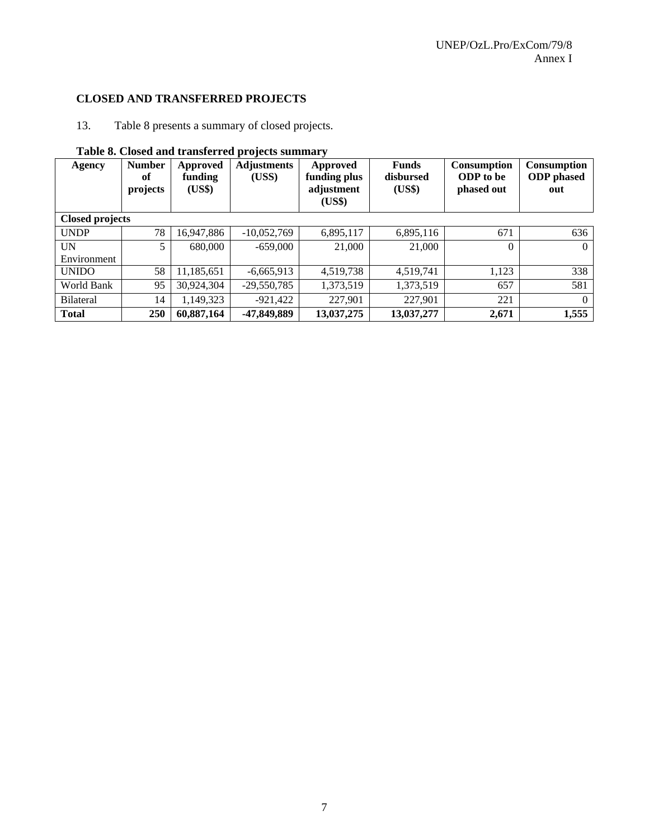## **CLOSED AND TRANSFERRED PROJECTS**

13. Table 8 presents a summary of closed projects.

| <b>Agency</b>          | <b>Number</b><br>of<br>projects | Approved<br>funding<br>(US\$) | <b>Adjustments</b><br>(USS) | <b>Approved</b><br>funding plus<br>adjustment<br>(US\$) | <b>Funds</b><br>disbursed<br>(US\$) | Consumption<br><b>ODP</b> to be<br>phased out | <b>Consumption</b><br><b>ODP</b> phased<br>out |
|------------------------|---------------------------------|-------------------------------|-----------------------------|---------------------------------------------------------|-------------------------------------|-----------------------------------------------|------------------------------------------------|
| <b>Closed projects</b> |                                 |                               |                             |                                                         |                                     |                                               |                                                |
| <b>UNDP</b>            | 78                              | 16,947,886                    | $-10,052,769$               | 6,895,117                                               | 6,895,116                           | 671                                           | 636                                            |
| <b>UN</b>              | $\mathfrak{S}$                  | 680,000                       | $-659,000$                  | 21,000                                                  | 21,000                              | $\Omega$                                      | $\theta$                                       |
| Environment            |                                 |                               |                             |                                                         |                                     |                                               |                                                |
| <b>UNIDO</b>           | 58                              | 11,185,651                    | $-6,665,913$                | 4,519,738                                               | 4,519,741                           | 1,123                                         | 338                                            |
| World Bank             | 95                              | 30,924,304                    | $-29,550,785$               | 1,373,519                                               | 1,373,519                           | 657                                           | 581                                            |
| <b>Bilateral</b>       | 14                              | 1,149,323                     | $-921,422$                  | 227,901                                                 | 227,901                             | 221                                           | $\Omega$                                       |
| <b>Total</b>           | 250                             | 60,887,164                    | -47,849,889                 | 13,037,275                                              | 13,037,277                          | 2,671                                         | 1,555                                          |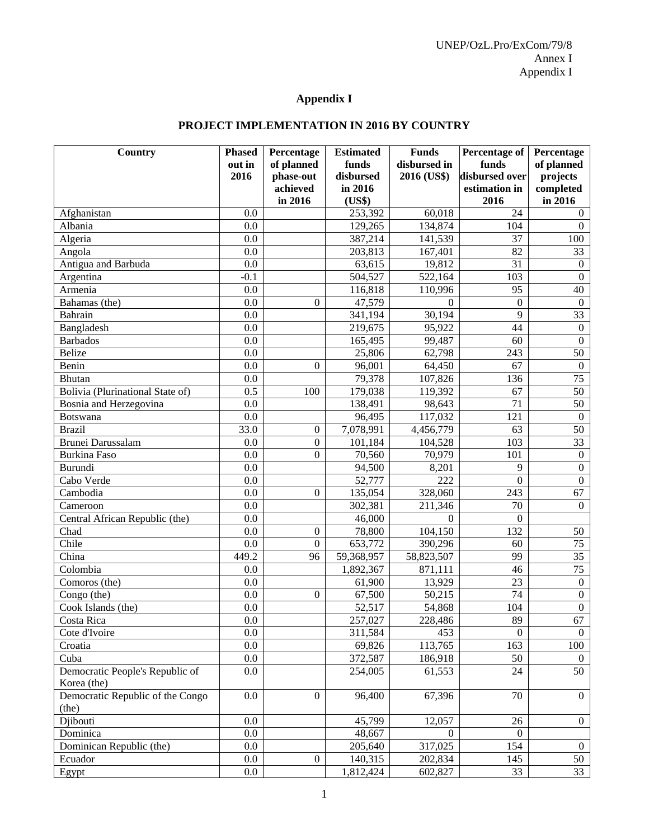## **Appendix I**

## **PROJECT IMPLEMENTATION IN 2016 BY COUNTRY**

| <b>Country</b>                   | <b>Phased</b><br>out in | Percentage<br>of planned | <b>Estimated</b><br>funds | <b>Funds</b><br>disbursed in | <b>Percentage of</b><br>funds | Percentage<br>of planned |
|----------------------------------|-------------------------|--------------------------|---------------------------|------------------------------|-------------------------------|--------------------------|
|                                  | 2016                    | phase-out                | disbursed                 | 2016 (US\$)                  | disbursed over                | projects                 |
|                                  |                         | achieved                 | in 2016                   |                              | estimation in                 | completed                |
|                                  |                         | in 2016                  | (US\$)                    |                              | 2016                          | in 2016                  |
| Afghanistan                      | 0.0                     |                          | 253,392                   | 60,018                       | 24                            | $\overline{0}$           |
| Albania                          | 0.0                     |                          | 129,265                   | 134,874                      | 104                           | $\overline{0}$           |
| Algeria                          | 0.0                     |                          | 387,214                   | 141,539                      | 37                            | 100                      |
| Angola                           | 0.0                     |                          | 203,813                   | 167,401                      | 82                            | 33                       |
| Antigua and Barbuda              | 0.0                     |                          | 63,615                    | 19,812                       | 31                            | $\mathbf{0}$             |
| Argentina                        | $-0.1$                  |                          | 504,527                   | 522,164                      | 103                           | $\boldsymbol{0}$         |
| Armenia                          | 0.0                     |                          | 116,818                   | 110,996                      | 95                            | 40                       |
| Bahamas (the)                    | 0.0                     | $\Omega$                 | 47,579                    | $\Omega$                     | $\overline{0}$                | $\mathbf{0}$             |
| Bahrain                          | 0.0                     |                          | 341,194                   | 30,194                       | 9                             | $\overline{33}$          |
| Bangladesh                       | 0.0                     |                          | 219,675                   | 95,922                       | 44                            | $\boldsymbol{0}$         |
| <b>Barbados</b>                  | 0.0                     |                          | 165,495                   | 99,487                       | 60                            | $\mathbf{0}$             |
| <b>Belize</b>                    | 0.0                     |                          | 25,806                    | 62,798                       | 243                           | 50                       |
| Benin                            | 0.0                     | $\theta$                 | 96,001                    | 64,450                       | 67                            | $\mathbf{0}$             |
| <b>Bhutan</b>                    | 0.0                     |                          | 79,378                    | 107,826                      | 136                           | $\overline{75}$          |
| Bolivia (Plurinational State of) | 0.5                     | 100                      | 179,038                   | 119,392                      | 67                            | 50                       |
| Bosnia and Herzegovina           | 0.0                     |                          | 138,491                   | 98,643                       | $\overline{71}$               | 50                       |
| Botswana                         | 0.0                     |                          | 96,495                    | 117,032                      | 121                           | $\mathbf{0}$             |
| <b>Brazil</b>                    | 33.0                    | $\boldsymbol{0}$         | 7,078,991                 | 4,456,779                    | 63                            | 50                       |
| Brunei Darussalam                | 0.0                     | $\boldsymbol{0}$         | 101,184                   | 104,528                      | 103                           | 33                       |
| <b>Burkina Faso</b>              | 0.0                     | $\overline{0}$           | 70,560                    | 70,979                       | 101                           | $\boldsymbol{0}$         |
| Burundi                          | 0.0                     |                          | 94,500                    | 8,201                        | 9                             | $\boldsymbol{0}$         |
| Cabo Verde                       | 0.0                     |                          | 52,777                    | 222                          | $\overline{0}$                | $\mathbf{0}$             |
| Cambodia                         | 0.0                     | $\theta$                 | 135,054                   | 328,060                      | 243                           | 67                       |
| Cameroon                         | 0.0                     |                          | 302,381                   | 211,346                      | 70                            | $\Omega$                 |
| Central African Republic (the)   | 0.0                     |                          | 46,000                    | $\Omega$                     | $\overline{0}$                |                          |
| Chad                             | 0.0                     | $\boldsymbol{0}$         | 78,800                    | 104,150                      | 132                           | 50                       |
| Chile                            | 0.0                     | $\overline{0}$           | 653,772                   | 390,296                      | 60                            | 75                       |
| China                            | 449.2                   | 96                       | 59,368,957                | 58,823,507                   | 99                            | 35                       |
| Colombia                         | 0.0                     |                          | 1,892,367                 | 871,111                      | 46                            | 75                       |
| Comoros (the)                    | 0.0                     |                          | 61,900                    | 13,929                       | 23                            | $\boldsymbol{0}$         |
| Congo (the)                      | 0.0                     | $\theta$                 | 67,500                    | 50,215                       | 74                            | $\boldsymbol{0}$         |
| Cook Islands (the)               | 0.0                     |                          | 52,517                    | 54,868                       | 104                           | $\boldsymbol{0}$         |
| Costa Rica                       | 0.0                     |                          | 257,027                   | 228,486                      | 89                            | 67                       |
| Cote d'Ivoire                    | 0.0                     |                          | 311,584                   | 453                          | $\overline{0}$                | $\theta$                 |
| Croatia                          | 0.0                     |                          | 69,826                    | 113,765                      | 163                           | 100                      |
| Cuba                             | $0.0\,$                 |                          | 372,587                   | 186,918                      | 50                            | 0                        |
| Democratic People's Republic of  | 0.0                     |                          | 254,005                   | 61,553                       | 24                            | 50                       |
| Korea (the)                      |                         |                          |                           |                              |                               |                          |
| Democratic Republic of the Congo | 0.0                     | $\boldsymbol{0}$         | 96,400                    | 67,396                       | 70                            | $\overline{0}$           |
| (the)                            |                         |                          |                           |                              |                               |                          |
| Djibouti                         | 0.0                     |                          | 45,799                    | 12,057                       | 26                            | $\overline{0}$           |
| Dominica                         | 0.0                     |                          | 48,667                    | $\Omega$                     | $\Omega$                      |                          |
| Dominican Republic (the)         | 0.0                     |                          | 205,640                   | 317,025                      | 154                           | $\overline{0}$           |
| Ecuador                          | 0.0                     | $\boldsymbol{0}$         | 140,315                   | 202,834                      | 145                           | 50                       |
| Egypt                            | $0.0\,$                 |                          | 1,812,424                 | 602,827                      | 33                            | 33                       |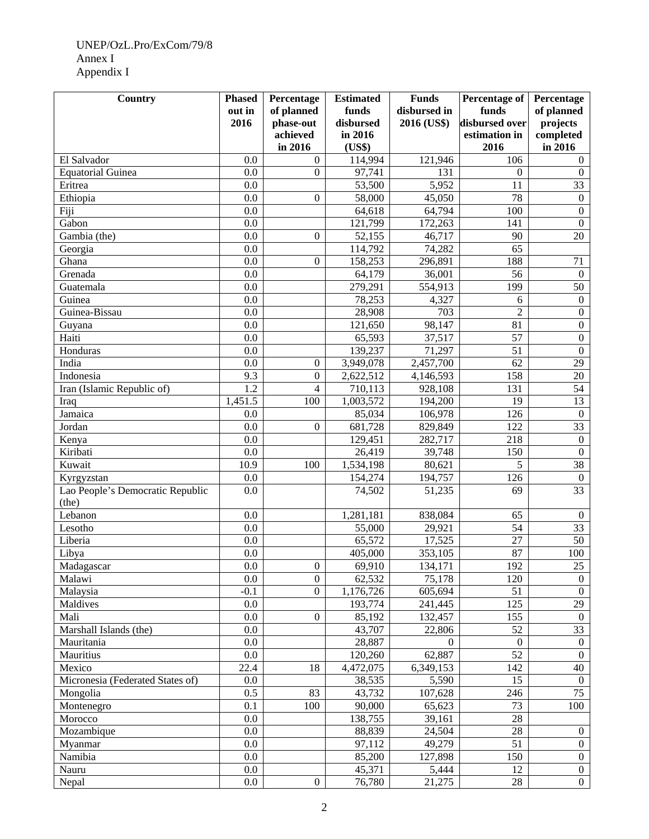## UNEP/OzL.Pro/ExCom/79/8 Annex I Appendix I

| <b>Country</b>                   | <b>Phased</b>    | Percentage              | <b>Estimated</b>    | <b>Funds</b>                | Percentage of           | Percentage             |
|----------------------------------|------------------|-------------------------|---------------------|-----------------------------|-------------------------|------------------------|
|                                  | out in<br>2016   | of planned<br>phase-out | funds<br>disbursed  | disbursed in<br>2016 (US\$) | funds<br>disbursed over | of planned<br>projects |
|                                  |                  | achieved                | in 2016             |                             | estimation in           | completed              |
|                                  |                  | in 2016                 | (US\$)              |                             | 2016                    | in 2016                |
| El Salvador                      | 0.0              | $\boldsymbol{0}$        | 114,994             | 121,946                     | 106                     | $\overline{0}$         |
| <b>Equatorial Guinea</b>         | 0.0              | $\overline{0}$          | 97,741              | 131                         | $\Omega$                | $\theta$               |
| Eritrea                          | 0.0              |                         | 53,500              | 5,952                       | 11                      | $\overline{33}$        |
| Ethiopia                         | 0.0              | $\theta$                | 58,000              | 45,050                      | 78                      | $\boldsymbol{0}$       |
| Fiji                             | 0.0              |                         | 64,618              | 64,794                      | 100                     | $\boldsymbol{0}$       |
| Gabon                            | 0.0              |                         | 121,799             | 172,263                     | 141                     | $\mathbf{0}$           |
| Gambia (the)                     | 0.0              | $\theta$                | 52,155              | 46,717                      | 90                      | 20                     |
| Georgia                          | 0.0              |                         | 114,792             | 74,282                      | 65                      |                        |
| Ghana                            | 0.0              | $\overline{0}$          | 158,253             | 296,891                     | 188                     | 71                     |
| Grenada                          | 0.0              |                         | 64,179              | 36,001                      | 56                      | $\boldsymbol{0}$       |
| Guatemala                        | 0.0              |                         | 279,291             | 554,913                     | 199                     | 50                     |
| Guinea                           | 0.0              |                         | 78,253              | 4,327                       | 6                       | $\boldsymbol{0}$       |
| Guinea-Bissau                    | 0.0              |                         | 28,908              | 703                         | $\overline{2}$          | $\boldsymbol{0}$       |
| Guyana                           | 0.0              |                         | 121,650             | 98,147                      | 81                      | $\boldsymbol{0}$       |
| Haiti                            | 0.0              |                         | 65,593              | 37,517                      | 57                      | $\boldsymbol{0}$       |
| Honduras                         | 0.0              |                         | 139,237             | 71,297                      | 51                      | $\mathbf{0}$           |
| India                            | 0.0              | $\boldsymbol{0}$        | 3,949,078           | 2,457,700                   | 62                      | 29                     |
| Indonesia                        | 9.3              | $\mathbf{0}$            | 2,622,512           | 4,146,593                   | 158                     | 20                     |
| Iran (Islamic Republic of)       | $\overline{1.2}$ | $\overline{4}$          | 710,113             | 928,108                     | 131                     | 54                     |
| Iraq                             | 1,451.5          | 100                     | 1,003,572           | 194,200                     | 19                      | 13                     |
| Jamaica                          | 0.0              |                         | 85,034              | 106,978                     | 126                     | $\mathbf{0}$           |
| Jordan                           | 0.0              | $\overline{0}$          | 681,728             | 829,849                     | 122                     | $\overline{33}$        |
| Kenya                            | 0.0              |                         | 129,451             | 282,717                     | 218                     | $\boldsymbol{0}$       |
| Kiribati                         | 0.0              |                         | 26,419              | 39,748                      | 150                     | $\mathbf{0}$           |
| Kuwait                           | 10.9             | 100                     | 1,534,198           | 80,621                      | 5                       | $\overline{38}$        |
| Kyrgyzstan                       | 0.0              |                         | 154,274             | 194,757                     | 126                     | $\boldsymbol{0}$       |
| Lao People's Democratic Republic | 0.0              |                         | 74,502              | 51,235                      | 69                      | 33                     |
| (the)                            |                  |                         |                     |                             |                         |                        |
| Lebanon                          | 0.0              |                         | 1,281,181           | 838,084                     | 65                      | $\boldsymbol{0}$       |
| Lesotho                          | 0.0              |                         | $\overline{55,000}$ | 29,921                      | 54                      | $\overline{33}$        |
| Liberia                          | 0.0              |                         | 65,572              | 17,525                      | 27                      | $\overline{50}$        |
| Libya                            | 0.0              |                         | 405,000             | 353,105                     | 87                      | 100                    |
| Madagascar                       | $\overline{0.0}$ | $\boldsymbol{0}$        | 69,910              | 134,171                     | 192                     | 25                     |
| Malawi                           | 0.0              | $\overline{0}$          | 62,532              | 75,178                      | 120                     | $\boldsymbol{0}$       |
| Malaysia                         | $-0.1$           | $\boldsymbol{0}$        | 1,176,726           | 605,694                     | 51                      | $\mathbf{0}$           |
| Maldives                         | 0.0              |                         | 193,774             | 241,445                     | 125                     | 29                     |
| Mali                             | 0.0              | $\boldsymbol{0}$        | 85,192              | 132,457                     | 155                     | $\boldsymbol{0}$       |
| Marshall Islands (the)           | 0.0              |                         | 43,707              | 22,806                      | 52                      | $\overline{33}$        |
| Mauritania                       | 0.0              |                         | 28,887              | $\boldsymbol{0}$            | $\boldsymbol{0}$        | $\boldsymbol{0}$       |
| Mauritius                        | 0.0              |                         | 120,260             | 62,887                      | 52                      | $\boldsymbol{0}$       |
| Mexico                           | 22.4             | 18                      | 4,472,075           | 6,349,153                   | 142                     | 40                     |
| Micronesia (Federated States of) | 0.0              |                         | 38,535              | 5,590                       | 15                      | $\boldsymbol{0}$       |
| Mongolia                         | 0.5              | 83                      | 43,732              | 107,628                     | 246                     | 75                     |
| Montenegro                       | 0.1              | 100                     | 90,000              | 65,623                      | 73                      | 100                    |
| Morocco                          | 0.0              |                         | 138,755             | 39,161                      | $28\,$                  |                        |
| Mozambique                       | 0.0              |                         | 88,839              | 24,504                      | $28\,$                  | $\boldsymbol{0}$       |
| Myanmar                          | 0.0              |                         | 97,112              | 49,279                      | 51                      | $\boldsymbol{0}$       |
| Namibia                          | 0.0              |                         | 85,200              | 127,898                     | 150                     | $\boldsymbol{0}$       |
| Nauru                            | 0.0              |                         | 45,371              | 5,444                       | 12                      | $\boldsymbol{0}$       |
| Nepal                            | 0.0              | $\boldsymbol{0}$        | 76,780              | 21,275                      | 28                      | $\overline{0}$         |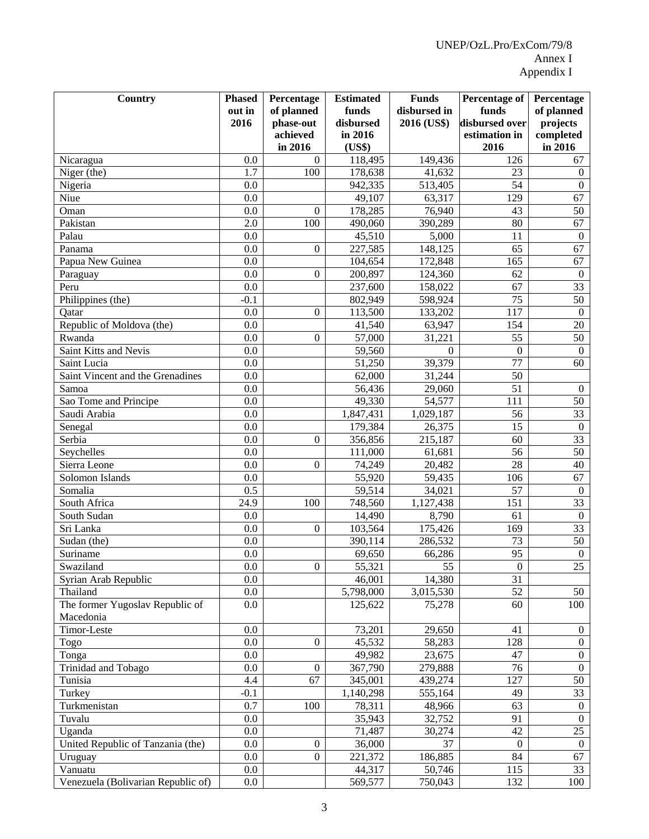| Country                            | <b>Phased</b>    | Percentage       | <b>Estimated</b>   | <b>Funds</b>           | Percentage of    | Percentage                   |
|------------------------------------|------------------|------------------|--------------------|------------------------|------------------|------------------------------|
|                                    | out in           | of planned       | funds              | disbursed in           | funds            | of planned                   |
|                                    | 2016             | phase-out        | disbursed          | 2016 (US\$)            | disbursed over   | projects                     |
|                                    |                  | achieved         | in 2016            |                        | estimation in    | completed                    |
|                                    |                  | in 2016          | (US\$)             |                        | 2016             | in 2016                      |
| Nicaragua                          | 0.0              | $\mathbf{0}$     | 118,495<br>178,638 | 149,436                | 126              | 67                           |
| Niger (the)                        | 1.7              | 100              |                    | 41,632                 | 23               | $\boldsymbol{0}$             |
| Nigeria                            | 0.0              |                  | 942,335            | 513,405                | 54               | $\boldsymbol{0}$             |
| Niue                               | 0.0              |                  | 49,107             | 63,317                 | 129              | 67                           |
| Oman                               | 0.0              | $\boldsymbol{0}$ | 178,285            | 76,940                 | 43               | 50                           |
| Pakistan                           | 2.0              | 100              | 490,060            | 390,289                | 80               | 67                           |
| Palau                              | 0.0              |                  | 45,510             | 5,000                  | 11               | $\mathbf{0}$                 |
| Panama                             | 0.0              | $\theta$         | 227,585            | 148,125                | 65               | 67                           |
| Papua New Guinea                   | 0.0              |                  | 104,654            | 172,848                | $16\overline{5}$ | 67                           |
| Paraguay                           | 0.0              | $\boldsymbol{0}$ | 200,897            | 124,360                | 62               | $\mathbf{0}$                 |
| Peru                               | 0.0              |                  | 237,600            | 158,022                | 67               | $\overline{33}$              |
| Philippines (the)                  | $-0.1$           |                  | 802,949            | 598,924                | 75               | $\overline{50}$              |
| Qatar                              | 0.0              | $\boldsymbol{0}$ | 113,500            | 133,202                | 117              | $\boldsymbol{0}$             |
| Republic of Moldova (the)          | 0.0              |                  | 41,540             | 63,947                 | 154              | 20                           |
| Rwanda                             | 0.0              | $\theta$         | 57,000             | 31,221                 | 55               | 50                           |
| Saint Kitts and Nevis              | 0.0              |                  | 59,560             | $\theta$               | $\theta$         | $\boldsymbol{0}$             |
| Saint Lucia                        | 0.0              |                  | 51,250             | 39,379                 | 77               | 60                           |
| Saint Vincent and the Grenadines   | 0.0              |                  | 62,000             | 31,244                 | 50               |                              |
| Samoa                              | 0.0              |                  | 56,436             | 29,060                 | 51               | $\mathbf{0}$                 |
| Sao Tome and Principe              | 0.0              |                  | 49,330             | 54,577                 | 111              | 50                           |
| Saudi Arabia                       | 0.0              |                  | 1,847,431          | 1,029,187              | 56               | $\overline{33}$              |
| Senegal                            | 0.0              |                  | 179,384            | 26,375                 | 15               | $\mathbf{0}$                 |
| Serbia                             | 0.0              | $\theta$         | 356,856            | 215,187                | 60               | $\overline{33}$              |
| Seychelles                         | 0.0              |                  | 111,000            | 61,681                 | 56               | $\overline{50}$              |
| Sierra Leone                       | 0.0              | $\theta$         | 74,249             | 20,482                 | 28               | 40                           |
| Solomon Islands                    | 0.0              |                  | 55,920             | 59,435                 | 106              | 67                           |
| Somalia                            | 0.5              |                  | 59,514             | 34,021                 | 57               | $\mathbf{0}$                 |
| South Africa                       | 24.9             | 100              | 748,560            | 1,127,438              | 151              | $\overline{33}$              |
| South Sudan                        | 0.0              |                  | 14,490             | 8,790                  | 61               | $\mathbf{0}$                 |
| Sri Lanka                          | 0.0              | $\theta$         | 103,564            | 175,426                | 169              | $\overline{33}$              |
| Sudan (the)                        | 0.0              |                  | 390,114            | 286,532                | 73               | $\overline{50}$              |
| Suriname                           | 0.0              |                  | 69,650             | 66,286                 | 95               | $\boldsymbol{0}$             |
| Swaziland                          | $\overline{0.0}$ | $\boldsymbol{0}$ | 55,321             | 55                     | $\overline{0}$   | $\overline{25}$              |
| Syrian Arab Republic               | 0.0              |                  | 46,001             | 14,380                 | 31               |                              |
| Thailand                           | 0.0              |                  | 5,798,000          | $\overline{3,015,530}$ | 52               | 50                           |
| The former Yugoslav Republic of    | 0.0              |                  | 125,622            | 75,278                 | 60               | 100                          |
| Macedonia                          |                  |                  |                    |                        |                  |                              |
| Timor-Leste                        | 0.0              |                  | 73,201             | 29,650                 | 41               | $\mathbf{0}$                 |
| Togo                               | 0.0              | $\boldsymbol{0}$ | 45,532             | 58,283                 | 128              | $\boldsymbol{0}$             |
| Tonga                              | 0.0              |                  | 49,982             | 23,675                 | 47               | $\mathbf{0}$<br>$\mathbf{0}$ |
| Trinidad and Tobago                | 0.0              | $\mathbf{0}$     | 367,790            | 279,888                | 76               |                              |
| Tunisia                            | 4.4              | 67               | 345,001            | 439,274                | 127              | 50                           |
| Turkey                             | $-0.1$           |                  | 1,140,298          | 555,164                | 49               | 33                           |
| Turkmenistan                       | 0.7              | 100              | 78,311             | 48,966                 | 63               | $\boldsymbol{0}$             |
| Tuvalu                             | 0.0              |                  | 35,943             | 32,752                 | 91               | $\mathbf{0}$                 |
| Uganda                             | 0.0              |                  | 71,487             | 30,274                 | 42               | 25                           |
| United Republic of Tanzania (the)  | 0.0              | 0                | 36,000             | 37                     | $\overline{0}$   | $\boldsymbol{0}$             |
| Uruguay                            | 0.0              | $\boldsymbol{0}$ | 221,372            | 186,885                | 84               | 67                           |
| Vanuatu                            | 0.0<br>0.0       |                  | 44,317             | 50,746                 | 115              | 33                           |
| Venezuela (Bolivarian Republic of) |                  |                  | 569,577            | 750,043                | 132              | 100                          |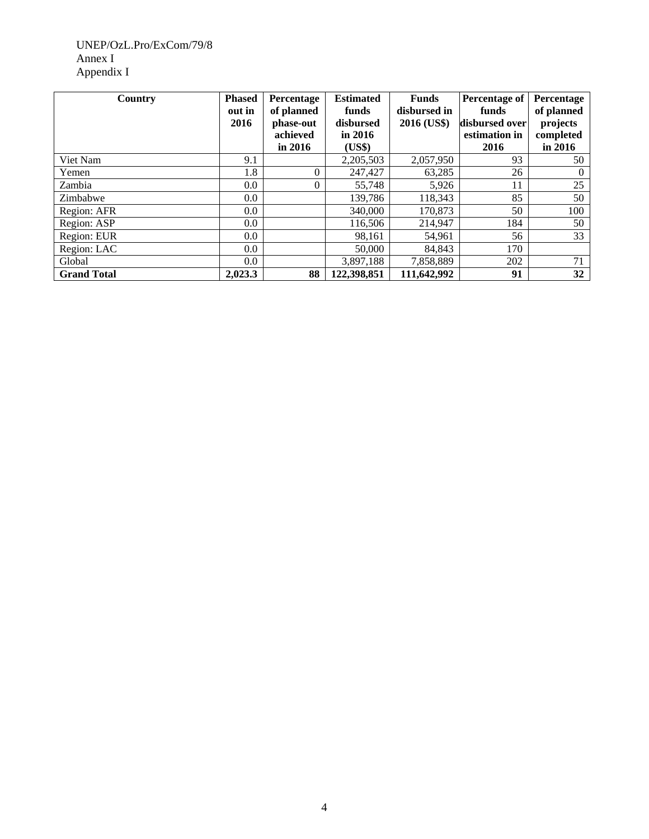## UNEP/OzL.Pro/ExCom/79/8 Annex I Appendix I

| Country            | <b>Phased</b><br>out in | Percentage<br>of planned | <b>Estimated</b><br>funds | <b>Funds</b><br>disbursed in | <b>Percentage of</b><br>funds | <b>Percentage</b><br>of planned |
|--------------------|-------------------------|--------------------------|---------------------------|------------------------------|-------------------------------|---------------------------------|
|                    | 2016                    | phase-out                | disbursed                 | 2016 (US\$)                  | disbursed over                | projects                        |
|                    |                         | achieved                 | in $2016$                 |                              | estimation in                 | completed                       |
|                    |                         | in $2016$                | (US\$)                    |                              | 2016                          | in 2016                         |
| Viet Nam           | 9.1                     |                          | 2,205,503                 | 2,057,950                    | 93                            | 50                              |
| Yemen              | 1.8                     | $\theta$                 | 247,427                   | 63,285                       | 26                            | $\theta$                        |
| Zambia             | $0.0\,$                 | 0                        | 55,748                    | 5,926                        | 11                            | 25                              |
| Zimbabwe           | $0.0\,$                 |                          | 139,786                   | 118,343                      | 85                            | 50                              |
| Region: AFR        | $0.0\,$                 |                          | 340,000                   | 170,873                      | 50                            | 100                             |
| Region: ASP        | $0.0\,$                 |                          | 116,506                   | 214,947                      | 184                           | 50                              |
| Region: EUR        | $0.0\,$                 |                          | 98,161                    | 54,961                       | 56                            | 33                              |
| Region: LAC        | $0.0\,$                 |                          | 50,000                    | 84,843                       | 170                           |                                 |
| Global             | $0.0\,$                 |                          | 3,897,188                 | 7,858,889                    | 202                           | 71                              |
| <b>Grand Total</b> | 2.023.3                 | 88                       | 122,398,851               | 111,642,992                  | 91                            | 32                              |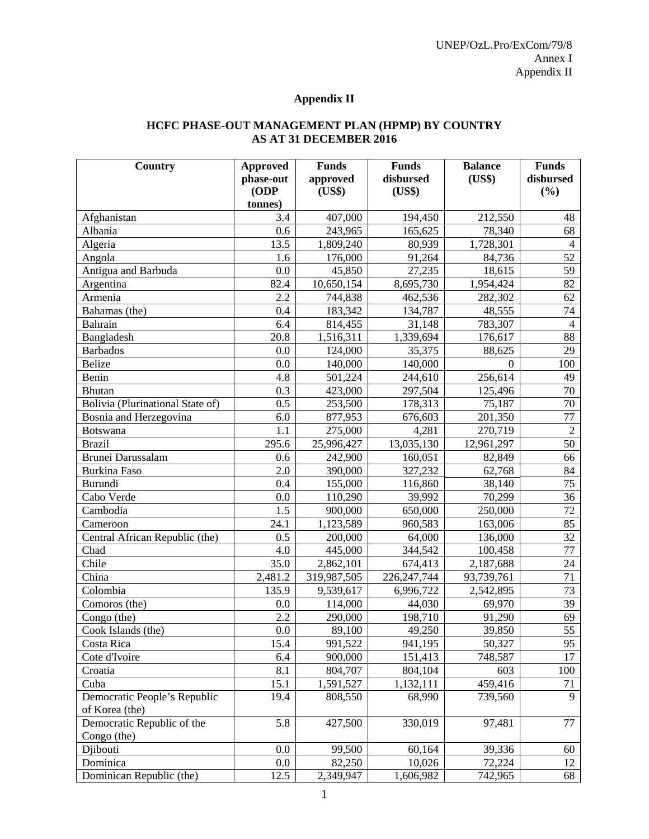## **Appendix II**

## **HCFC PHASE-OUT MANAGEMENT PLAN (HPMP) BY COUNTRY AS AT 31 DECEMBER 2016**

| <b>Country</b>                   | <b>Approved</b> | <b>Funds</b> | <b>Funds</b>  | <b>Balance</b> | <b>Funds</b>    |
|----------------------------------|-----------------|--------------|---------------|----------------|-----------------|
|                                  | phase-out       | approved     | disbursed     | (US\$)         | disbursed       |
|                                  | (ODP            | (US\$)       | (US\$)        |                | (%)             |
|                                  | tonnes)         |              |               |                |                 |
| Afghanistan                      | 3.4             | 407,000      | 194,450       | 212,550        | 48              |
| Albania                          | 0.6             | 243,965      | 165,625       | 78,340         | 68              |
| Algeria                          | 13.5            | 1,809,240    | 80,939        | 1,728,301      | 4               |
| Angola                           | 1.6             | 176,000      | 91,264        | 84,736         | 52              |
| Antigua and Barbuda              | 0.0             | 45,850       | 27,235        | 18,615         | 59              |
| Argentina                        | 82.4            | 10,650,154   | 8,695,730     | 1,954,424      | 82              |
| Armenia                          | 2.2             | 744,838      | 462,536       | 282,302        | 62              |
| Bahamas (the)                    | 0.4             | 183,342      | 134,787       | 48,555         | 74              |
| Bahrain                          | 6.4             | 814,455      | 31,148        | 783,307        | $\overline{4}$  |
| Bangladesh                       | 20.8            | 1,516,311    | 1,339,694     | 176,617        | 88              |
| <b>Barbados</b>                  | 0.0             | 124,000      | 35,375        | 88,625         | 29              |
| <b>Belize</b>                    | 0.0             | 140,000      | 140,000       | $\Omega$       | 100             |
| Benin                            | 4.8             | 501,224      | 244,610       | 256,614        | 49              |
| Bhutan                           | 0.3             | 423,000      | 297,504       | 125,496        | 70              |
| Bolivia (Plurinational State of) | 0.5             | 253,500      | 178,313       | 75,187         | 70              |
| Bosnia and Herzegovina           | 6.0             | 877,953      | 676,603       | 201,350        | 77              |
| <b>Botswana</b>                  | 1.1             | 275,000      | 4,281         | 270,719        | $\overline{2}$  |
| <b>Brazil</b>                    | 295.6           | 25,996,427   | 13,035,130    | 12,961,297     | 50              |
| Brunei Darussalam                | 0.6             | 242,900      | 160,051       | 82,849         | 66              |
| <b>Burkina Faso</b>              | 2.0             | 390,000      | 327,232       | 62,768         | 84              |
| <b>Burundi</b>                   | 0.4             | 155,000      | 116,860       | 38,140         | 75              |
| Cabo Verde                       | 0.0             | 110,290      | 39,992        | 70,299         | 36              |
| Cambodia                         | 1.5             | 900,000      | 650,000       | 250,000        | 72              |
| Cameroon                         | 24.1            | 1,123,589    | 960,583       | 163,006        | 85              |
| Central African Republic (the)   | 0.5             | 200,000      | 64,000        | 136,000        | 32              |
| Chad                             | 4.0             | 445,000      | 344,542       | 100,458        | 77              |
| Chile                            | 35.0            | 2,862,101    | 674,413       | 2,187,688      | 24              |
| China                            | 2,481.2         | 319,987,505  | 226, 247, 744 | 93,739,761     | 71              |
| Colombia                         | 135.9           | 9,539,617    | 6,996,722     | 2,542,895      | 73              |
| Comoros (the)                    | 0.0             | 114,000      | 44,030        | 69,970         | 39              |
| Congo (the)                      | 2.2             | 290,000      | 198,710       | 91,290         | 69              |
| Cook Islands (the)               | 0.0             | 89,100       | 49,250        | 39,850         | $\overline{55}$ |
| Costa Rica                       | 15.4            | 991,522      | 941,195       | 50,327         | 95              |
| Cote d'Ivoire                    | 6.4             | 900,000      | 151,413       | 748,587        | 17              |
| Croatia                          | 8.1             | 804,707      | 804,104       | 603            | 100             |
| Cuba                             | 15.1            | 1,591,527    | 1,132,111     | 459,416        | 71              |
| Democratic People's Republic     | 19.4            | 808,550      | 68,990        | 739,560        | 9               |
| of Korea (the)                   |                 |              |               |                |                 |
| Democratic Republic of the       | 5.8             | 427,500      | 330,019       | 97,481         | 77              |
| Congo (the)                      |                 |              |               |                |                 |
| Djibouti                         | 0.0             | 99,500       | 60,164        | 39,336         | 60              |
| Dominica                         | 0.0             | 82,250       | 10,026        | 72,224         | 12              |
| Dominican Republic (the)         | 12.5            | 2,349,947    | 1,606,982     | 742,965        | 68              |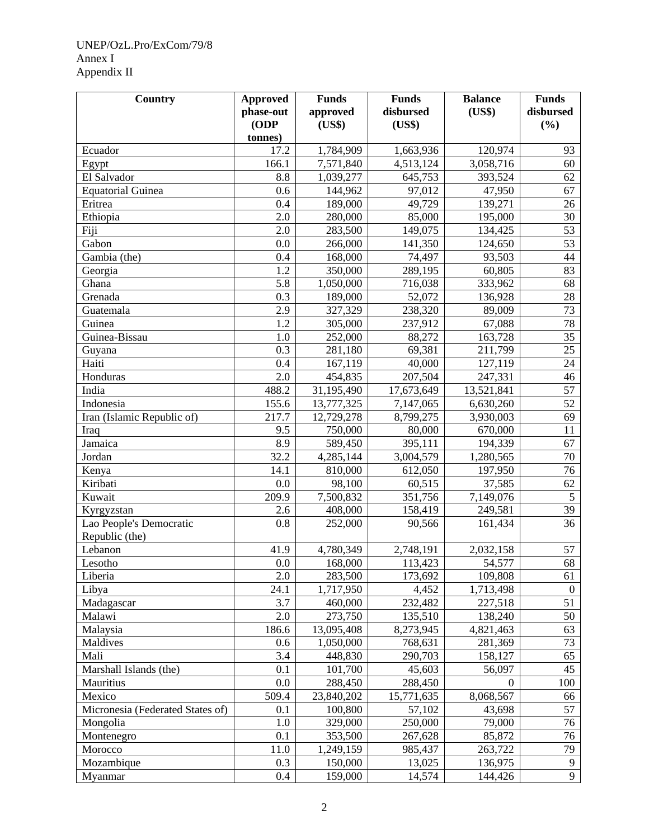## UNEP/OzL.Pro/ExCom/79/8 Annex I Appendix II

| <b>Country</b>                   | <b>Approved</b> | <b>Funds</b> | <b>Funds</b> | <b>Balance</b> | <b>Funds</b>     |
|----------------------------------|-----------------|--------------|--------------|----------------|------------------|
|                                  | phase-out       | approved     | disbursed    | (US\$)         | disbursed        |
|                                  | ODP<br>tonnes)  | (US\$)       | (US\$)       |                | (%)              |
| Ecuador                          | 17.2            | 1,784,909    | 1,663,936    | 120,974        | 93               |
| Egypt                            | 166.1           | 7,571,840    | 4,513,124    | 3,058,716      | 60               |
| El Salvador                      | 8.8             | 1,039,277    | 645,753      | 393,524        | 62               |
| <b>Equatorial Guinea</b>         | 0.6             | 144,962      | 97,012       | 47,950         | 67               |
| Eritrea                          | 0.4             | 189,000      | 49,729       | 139,271        | 26               |
| Ethiopia                         | 2.0             | 280,000      | 85,000       | 195,000        | 30               |
| Fiji                             | 2.0             | 283,500      | 149,075      | 134,425        | 53               |
| Gabon                            | 0.0             | 266,000      | 141,350      | 124,650        | 53               |
| Gambia (the)                     | 0.4             | 168,000      | 74,497       | 93,503         | 44               |
| Georgia                          | 1.2             | 350,000      | 289,195      | 60,805         | 83               |
| Ghana                            | 5.8             | 1,050,000    | 716,038      | 333,962        | 68               |
| Grenada                          | 0.3             | 189,000      | 52,072       | 136,928        | 28               |
| Guatemala                        | 2.9             | 327,329      | 238,320      | 89,009         | 73               |
| Guinea                           | 1.2             | 305,000      | 237,912      | 67,088         | 78               |
| Guinea-Bissau                    | 1.0             | 252,000      | 88,272       | 163,728        | 35               |
| Guyana                           | 0.3             | 281,180      | 69,381       | 211,799        | 25               |
| Haiti                            | 0.4             | 167,119      | 40,000       | 127,119        | 24               |
| Honduras                         | 2.0             | 454,835      | 207,504      | 247,331        | 46               |
| India                            | 488.2           | 31,195,490   | 17,673,649   | 13,521,841     | 57               |
| Indonesia                        | 155.6           | 13,777,325   | 7,147,065    | 6,630,260      | 52               |
| Iran (Islamic Republic of)       | 217.7           | 12,729,278   | 8,799,275    | 3,930,003      | 69               |
| Iraq                             | 9.5             | 750,000      | 80,000       | 670,000        | 11               |
| Jamaica                          | 8.9             | 589,450      | 395,111      | 194,339        | 67               |
| Jordan                           | 32.2            | 4,285,144    | 3,004,579    | 1,280,565      | 70               |
| Kenya                            | 14.1            | 810,000      | 612,050      | 197,950        | 76               |
| Kiribati                         | 0.0             | 98,100       | 60,515       | 37,585         | 62               |
| Kuwait                           | 209.9           | 7,500,832    | 351,756      | 7,149,076      | $5\overline{)}$  |
| Kyrgyzstan                       | 2.6             | 408,000      | 158,419      | 249,581        | 39               |
| Lao People's Democratic          | 0.8             | 252,000      | 90,566       | 161,434        | $\overline{36}$  |
| Republic (the)                   |                 |              |              |                |                  |
| Lebanon                          | 41.9            | 4,780,349    | 2,748,191    | 2,032,158      | 57               |
| Lesotho                          | 0.0             | 168,000      | 113,423      | 54,577         | 68               |
| Liberia                          | 2.0             | 283,500      | 173,692      | 109,808        | 61               |
| Libya                            | 24.1            | 1,717,950    | 4,452        | 1,713,498      | $\boldsymbol{0}$ |
| Madagascar                       | 3.7             | 460,000      | 232,482      | 227,518        | 51               |
| Malawi                           | 2.0             | 273,750      | 135,510      | 138,240        | 50               |
| Malaysia                         | 186.6           | 13,095,408   | 8,273,945    | 4,821,463      | 63               |
| Maldives                         | 0.6             | 1,050,000    | 768,631      | 281,369        | 73               |
| Mali                             | 3.4             | 448,830      | 290,703      | 158,127        | 65               |
| Marshall Islands (the)           | 0.1             | 101,700      | 45,603       | 56,097         | 45               |
| Mauritius                        | 0.0             | 288,450      | 288,450      | $\overline{0}$ | 100              |
| Mexico                           | 509.4           | 23,840,202   | 15,771,635   | 8,068,567      | 66               |
| Micronesia (Federated States of) | 0.1             | 100,800      | 57,102       | 43,698         | 57               |
| Mongolia                         | 1.0             | 329,000      | 250,000      | 79,000         | 76               |
| Montenegro                       | 0.1             | 353,500      | 267,628      | 85,872         | 76               |
| Morocco                          | 11.0            | 1,249,159    | 985,437      | 263,722        | 79               |
| Mozambique                       | 0.3             | 150,000      | 13,025       | 136,975        | 9                |
| Myanmar                          | 0.4             | 159,000      | 14,574       | 144,426        | 9                |
|                                  |                 |              |              |                |                  |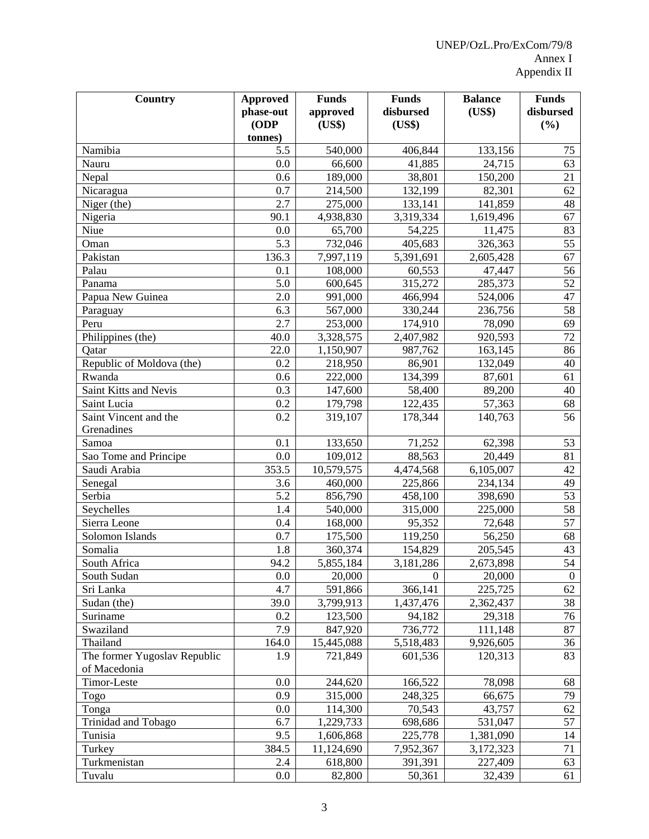| <b>Country</b>               | <b>Approved</b> | <b>Funds</b>           | <b>Funds</b> | <b>Balance</b> | <b>Funds</b>     |
|------------------------------|-----------------|------------------------|--------------|----------------|------------------|
|                              | phase-out       | approved               | disbursed    | (US\$)         | disbursed        |
|                              | (ODP            | (US\$)                 | (US\$)       |                | (%)              |
|                              | tonnes)         |                        |              |                |                  |
| Namibia                      | 5.5             | 540,000                | 406,844      | 133,156        | 75               |
| Nauru                        | 0.0             | 66,600                 | 41,885       | 24,715         | 63               |
| Nepal                        | 0.6             | 189,000                | 38,801       | 150,200        | 21               |
| Nicaragua                    | 0.7             | 214,500                | 132,199      | 82,301         | 62               |
| Niger (the)                  | 2.7             | 275,000                | 133,141      | 141,859        | 48               |
| Nigeria                      | 90.1            | 4,938,830              | 3,319,334    | 1,619,496      | 67               |
| Niue                         | 0.0             | 65,700                 | 54,225       | 11,475         | 83               |
| Oman                         | 5.3             | 732,046                | 405,683      | 326,363        | 55               |
| Pakistan                     | 136.3           | 7,997,119              | 5,391,691    | 2,605,428      | 67               |
| Palau                        | 0.1             | 108,000                | 60,553       | 47,447         | 56               |
| Panama                       | 5.0             | 600,645                | 315,272      | 285,373        | 52               |
| Papua New Guinea             | 2.0             | 991,000                | 466,994      | 524,006        | 47               |
| Paraguay                     | 6.3             | 567,000                | 330,244      | 236,756        | 58               |
| Peru                         | 2.7             | 253,000                | 174,910      | 78,090         | 69               |
| Philippines (the)            | 40.0            | 3,328,575              | 2,407,982    | 920,593        | 72               |
| Qatar                        | 22.0            | $\overline{1,}150,907$ | 987,762      | 163,145        | 86               |
| Republic of Moldova (the)    | 0.2             | 218,950                | 86,901       | 132,049        | 40               |
| Rwanda                       | 0.6             | 222,000                | 134,399      | 87,601         | 61               |
| Saint Kitts and Nevis        | 0.3             | 147,600                | 58,400       | 89,200         | 40               |
| Saint Lucia                  | 0.2             | 179,798                | 122,435      | 57,363         | 68               |
| Saint Vincent and the        | 0.2             | 319,107                | 178,344      | 140,763        | 56               |
| Grenadines                   |                 |                        |              |                |                  |
| Samoa                        | 0.1             | 133,650                | 71,252       | 62,398         | 53               |
| Sao Tome and Principe        | 0.0             | 109,012                | 88,563       | 20,449         | 81               |
| Saudi Arabia                 | 353.5           | 10,579,575             | 4,474,568    | 6,105,007      | 42               |
| Senegal                      | 3.6             | 460,000                | 225,866      | 234,134        | 49               |
| Serbia                       | 5.2             | 856,790                | 458,100      | 398,690        | 53               |
| Seychelles                   | 1.4             | 540,000                | 315,000      | 225,000        | 58               |
| Sierra Leone                 | 0.4             | 168,000                | 95,352       | 72,648         | 57               |
| Solomon Islands              | 0.7             | 175,500                | 119,250      | 56,250         | 68               |
| Somalia                      | 1.8             | 360,374                | 154,829      | 205,545        | 43               |
| South Africa                 | 94.2            | 5,855,184              | 3,181,286    | 2,673,898      | $\overline{54}$  |
| South Sudan                  | 0.0             | 20,000                 | $\mathbf{0}$ | 20,000         | $\boldsymbol{0}$ |
| Sri Lanka                    | 4.7             | 591,866                | 366,141      | 225,725        | 62               |
| Sudan (the)                  | 39.0            | 3,799,913              | 1,437,476    | 2,362,437      | 38               |
| Suriname                     | 0.2             | 123,500                | 94,182       | 29,318         | 76               |
| Swaziland                    | 7.9             | 847,920                | 736,772      | 111,148        | 87               |
| Thailand                     | 164.0           | 15,445,088             | 5,518,483    | 9,926,605      | 36               |
| The former Yugoslav Republic | 1.9             | 721,849                | 601,536      | 120,313        | 83               |
| of Macedonia                 |                 |                        |              |                |                  |
| Timor-Leste                  | 0.0             | 244,620                | 166,522      | 78,098         | 68               |
| Togo                         | 0.9             | 315,000                | 248,325      | 66,675         | 79               |
| Tonga                        | 0.0             | 114,300                | 70,543       | 43,757         | 62               |
| Trinidad and Tobago          | 6.7             | 1,229,733              | 698,686      | 531,047        | 57               |
| Tunisia                      | 9.5             | 1,606,868              | 225,778      | 1,381,090      | 14               |
| Turkey                       | 384.5           | 11,124,690             | 7,952,367    | 3,172,323      | 71               |
| Turkmenistan                 | 2.4             | 618,800                | 391,391      | 227,409        | 63               |
| Tuvalu                       | $0.0\,$         | 82,800                 | 50,361       | 32,439         | 61               |